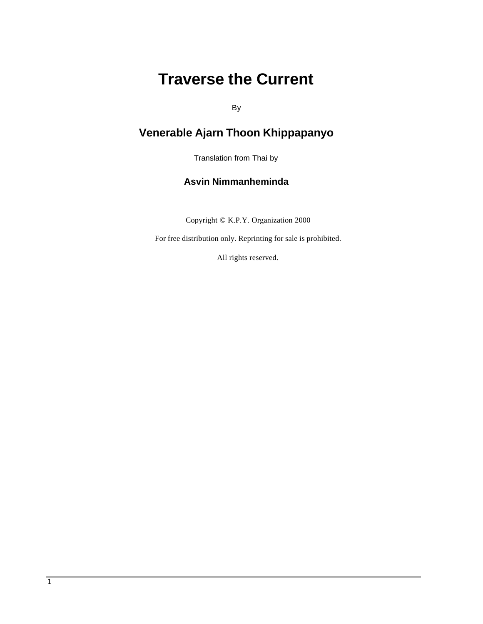# **Traverse the Current**

By

## **Venerable Ajarn Thoon Khippapanyo**

Translation from Thai by

#### **Asvin Nimmanheminda**

Copyright © K.P.Y. Organization 2000

For free distribution only. Reprinting for sale is prohibited.

All rights reserved.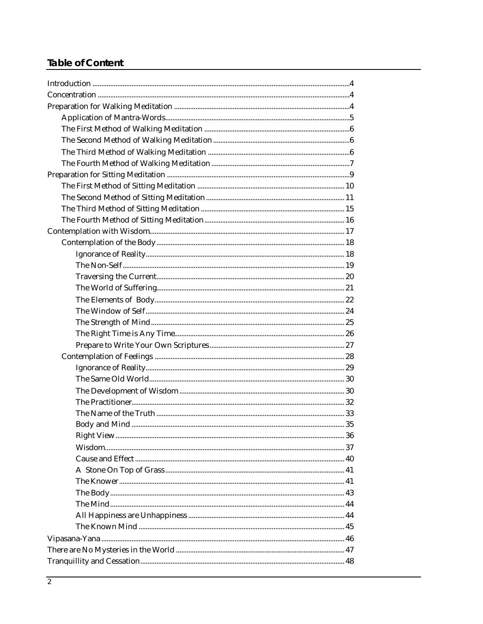## **Table of Content**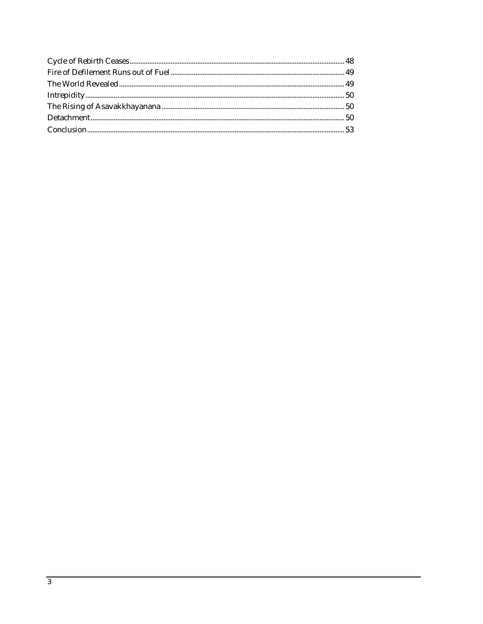| $\textbf{Cycle of Rebirth Ceases}.\textcolor{blue}{\textbf{18}}$ |  |
|------------------------------------------------------------------|--|
|                                                                  |  |
|                                                                  |  |
|                                                                  |  |
|                                                                  |  |
|                                                                  |  |
|                                                                  |  |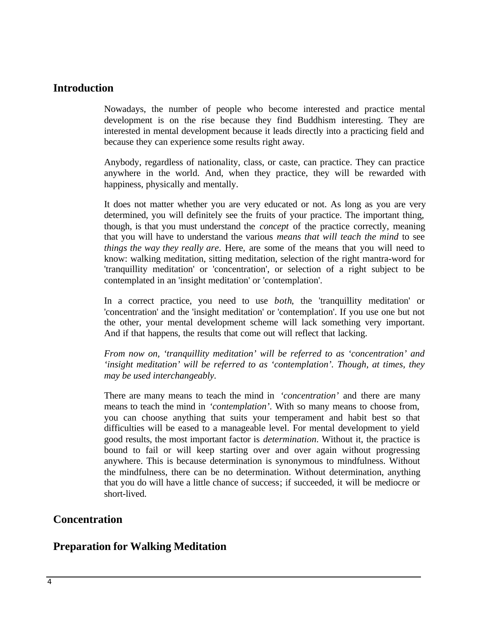## **Introduction**

Nowadays, the number of people who become interested and practice mental development is on the rise because they find Buddhism interesting. They are interested in mental development because it leads directly into a practicing field and because they can experience some results right away.

Anybody, regardless of nationality, class, or caste, can practice. They can practice anywhere in the world. And, when they practice, they will be rewarded with happiness, physically and mentally.

It does not matter whether you are very educated or not. As long as you are very determined, you will definitely see the fruits of your practice. The important thing, though, is that you must understand the *concept* of the practice correctly, meaning that you will have to understand the various *means that will teach the mind* to see *things the way they really are*. Here, are some of the means that you will need to know: walking meditation, sitting meditation, selection of the right mantra-word for 'tranquillity meditation' or 'concentration', or selection of a right subject to be contemplated in an 'insight meditation' or 'contemplation'.

In a correct practice, you need to use *both*, the 'tranquillity meditation' or 'concentration' and the 'insight meditation' or 'contemplation'. If you use one but not the other, your mental development scheme will lack something very important. And if that happens, the results that come out will reflect that lacking.

*From now on, 'tranquillity meditation' will be referred to as 'concentration' and 'insight meditation' will be referred to as 'contemplation'. Though, at times, they may be used interchangeably.*

There are many means to teach the mind in *'concentration'* and there are many means to teach the mind in *'contemplation'*. With so many means to choose from, you can choose anything that suits your temperament and habit best so that difficulties will be eased to a manageable level. For mental development to yield good results, the most important factor is *determination*. Without it, the practice is bound to fail or will keep starting over and over again without progressing anywhere. This is because determination is synonymous to mindfulness. Without the mindfulness, there can be no determination. Without determination, anything that you do will have a little chance of success; if succeeded, it will be mediocre or short-lived.

## **Concentration**

## **Preparation for Walking Meditation**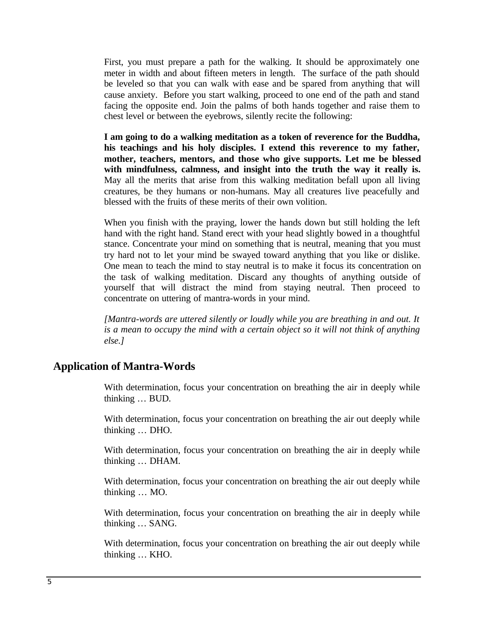First, you must prepare a path for the walking. It should be approximately one meter in width and about fifteen meters in length. The surface of the path should be leveled so that you can walk with ease and be spared from anything that will cause anxiety. Before you start walking, proceed to one end of the path and stand facing the opposite end. Join the palms of both hands together and raise them to chest level or between the eyebrows, silently recite the following:

**I am going to do a walking meditation as a token of reverence for the Buddha, his teachings and his holy disciples. I extend this reverence to my father, mother, teachers, mentors, and those who give supports. Let me be blessed with mindfulness, calmness, and insight into the truth the way it really is.** May all the merits that arise from this walking meditation befall upon all living creatures, be they humans or non-humans. May all creatures live peacefully and blessed with the fruits of these merits of their own volition.

When you finish with the praying, lower the hands down but still holding the left hand with the right hand. Stand erect with your head slightly bowed in a thoughtful stance. Concentrate your mind on something that is neutral, meaning that you must try hard not to let your mind be swayed toward anything that you like or dislike. One mean to teach the mind to stay neutral is to make it focus its concentration on the task of walking meditation. Discard any thoughts of anything outside of yourself that will distract the mind from staying neutral. Then proceed to concentrate on uttering of mantra-words in your mind.

*[Mantra-words are uttered silently or loudly while you are breathing in and out. It is a mean to occupy the mind with a certain object so it will not think of anything else.]*

#### **Application of Mantra-Words**

With determination, focus your concentration on breathing the air in deeply while thinking … BUD.

With determination, focus your concentration on breathing the air out deeply while thinking … DHO.

With determination, focus your concentration on breathing the air in deeply while thinking … DHAM.

With determination, focus your concentration on breathing the air out deeply while thinking … MO.

With determination, focus your concentration on breathing the air in deeply while thinking … SANG.

With determination, focus your concentration on breathing the air out deeply while thinking … KHO.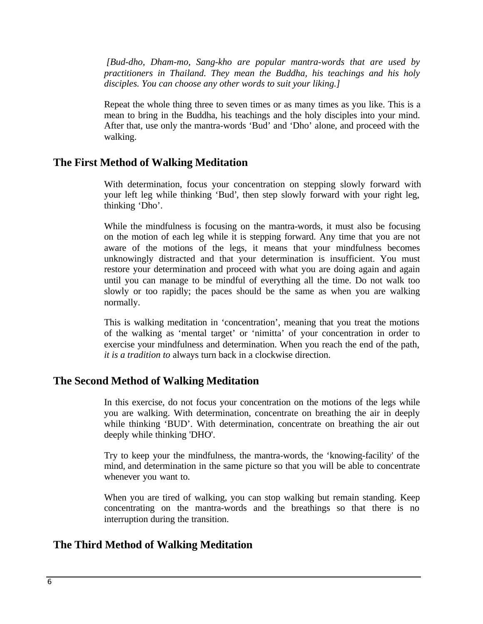*[Bud-dho, Dham-mo, Sang-kho are popular mantra-words that are used by practitioners in Thailand. They mean the Buddha, his teachings and his holy disciples. You can choose any other words to suit your liking.]*

Repeat the whole thing three to seven times or as many times as you like. This is a mean to bring in the Buddha, his teachings and the holy disciples into your mind. After that, use only the mantra-words 'Bud' and 'Dho' alone, and proceed with the walking.

#### **The First Method of Walking Meditation**

With determination, focus your concentration on stepping slowly forward with your left leg while thinking 'Bud', then step slowly forward with your right leg, thinking 'Dho'.

While the mindfulness is focusing on the mantra-words, it must also be focusing on the motion of each leg while it is stepping forward. Any time that you are not aware of the motions of the legs, it means that your mindfulness becomes unknowingly distracted and that your determination is insufficient. You must restore your determination and proceed with what you are doing again and again until you can manage to be mindful of everything all the time. Do not walk too slowly or too rapidly; the paces should be the same as when you are walking normally.

This is walking meditation in 'concentration', meaning that you treat the motions of the walking as 'mental target' or 'nimitta' of your concentration in order to exercise your mindfulness and determination. When you reach the end of the path, *it is a tradition to* always turn back in a clockwise direction.

#### **The Second Method of Walking Meditation**

In this exercise, do not focus your concentration on the motions of the legs while you are walking. With determination, concentrate on breathing the air in deeply while thinking 'BUD'. With determination, concentrate on breathing the air out deeply while thinking 'DHO'.

Try to keep your the mindfulness, the mantra-words, the 'knowing-facility' of the mind*,* and determination in the same picture so that you will be able to concentrate whenever you want to.

When you are tired of walking, you can stop walking but remain standing. Keep concentrating on the mantra-words and the breathings so that there is no interruption during the transition.

#### **The Third Method of Walking Meditation**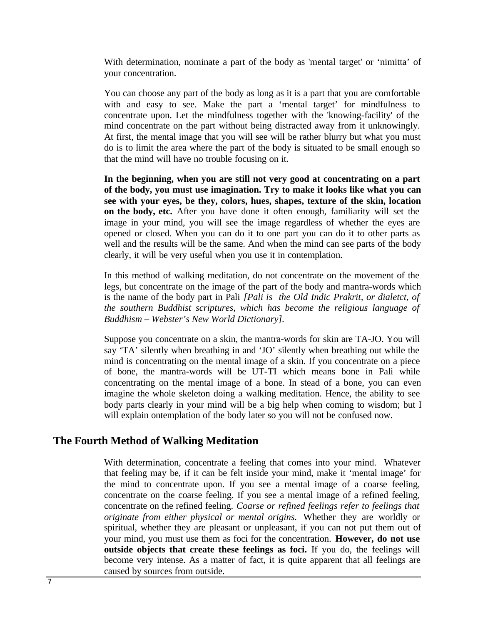With determination, nominate a part of the body as 'mental target' or 'nimitta' of your concentration.

You can choose any part of the body as long as it is a part that you are comfortable with and easy to see. Make the part a 'mental target' for mindfulness to concentrate upon. Let the mindfulness together with the 'knowing-facility' of the mind concentrate on the part without being distracted away from it unknowingly. At first, the mental image that you will see will be rather blurry but what you must do is to limit the area where the part of the body is situated to be small enough so that the mind will have no trouble focusing on it.

**In the beginning, when you are still not very good at concentrating on a part of the body, you must use imagination. Try to make it looks like what you can see with your eyes, be they, colors, hues, shapes, texture of the skin, location on the body, etc.** After you have done it often enough, familiarity will set the image in your mind, you will see the image regardless of whether the eyes are opened or closed. When you can do it to one part you can do it to other parts as well and the results will be the same. And when the mind can see parts of the body clearly, it will be very useful when you use it in contemplation.

In this method of walking meditation, do not concentrate on the movement of the legs, but concentrate on the image of the part of the body and mantra-words which is the name of the body part in Pali *[Pali is the Old Indic Prakrit, or dialetct, of the southern Buddhist scriptures, which has become the religious language of Buddhism – Webster's New World Dictionary].*

Suppose you concentrate on a skin, the mantra-words for skin are TA-JO. You will say 'TA' silently when breathing in and 'JO' silently when breathing out while the mind is concentrating on the mental image of a skin. If you concentrate on a piece of bone, the mantra-words will be UT-TI which means bone in Pali while concentrating on the mental image of a bone. In stead of a bone, you can even imagine the whole skeleton doing a walking meditation. Hence, the ability to see body parts clearly in your mind will be a big help when coming to wisdom; but I will explain ontemplation of the body later so you will not be confused now.

## **The Fourth Method of Walking Meditation**

With determination, concentrate a feeling that comes into your mind. Whatever that feeling may be, if it can be felt inside your mind, make it 'mental image' for the mind to concentrate upon. If you see a mental image of a coarse feeling, concentrate on the coarse feeling. If you see a mental image of a refined feeling, concentrate on the refined feeling. *Coarse or refined feelings refer to feelings that originate from either physical or mental origins.* Whether they are worldly or spiritual, whether they are pleasant or unpleasant, if you can not put them out of your mind, you must use them as foci for the concentration. **However, do not use outside objects that create these feelings as foci.** If you do, the feelings will become very intense. As a matter of fact, it is quite apparent that all feelings are caused by sources from outside.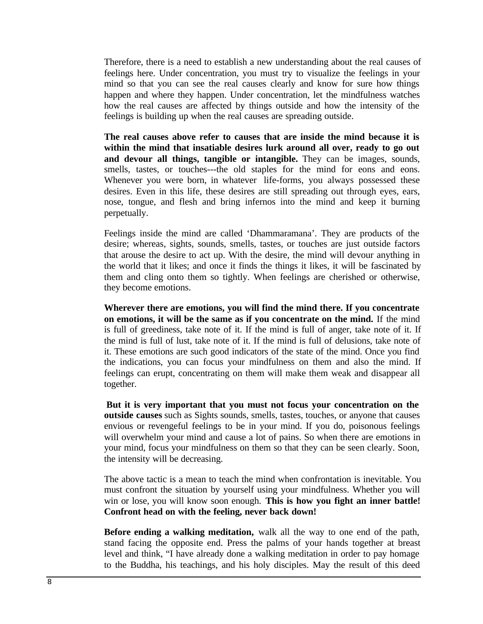Therefore, there is a need to establish a new understanding about the real causes of feelings here. Under concentration, you must try to visualize the feelings in your mind so that you can see the real causes clearly and know for sure how things happen and where they happen. Under concentration, let the mindfulness watches how the real causes are affected by things outside and how the intensity of the feelings is building up when the real causes are spreading outside.

**The real causes above refer to causes that are inside the mind because it is within the mind that insatiable desires lurk around all over, ready to go out and devour all things, tangible or intangible.** They can be images, sounds, smells, tastes, or touches---the old staples for the mind for eons and eons. Whenever you were born, in whatever life-forms, you always possessed these desires. Even in this life, these desires are still spreading out through eyes, ears, nose, tongue, and flesh and bring infernos into the mind and keep it burning perpetually.

Feelings inside the mind are called 'Dhammaramana'. They are products of the desire; whereas, sights, sounds, smells, tastes, or touches are just outside factors that arouse the desire to act up. With the desire, the mind will devour anything in the world that it likes; and once it finds the things it likes, it will be fascinated by them and cling onto them so tightly. When feelings are cherished or otherwise, they become emotions.

**Wherever there are emotions, you will find the mind there. If you concentrate on emotions, it will be the same as if you concentrate on the mind.** If the mind is full of greediness, take note of it. If the mind is full of anger, take note of it. If the mind is full of lust, take note of it. If the mind is full of delusions, take note of it. These emotions are such good indicators of the state of the mind. Once you find the indications, you can focus your mindfulness on them and also the mind. If feelings can erupt, concentrating on them will make them weak and disappear all together.

**But it is very important that you must not focus your concentration on the outside causes** such as Sights sounds, smells, tastes, touches, or anyone that causes envious or revengeful feelings to be in your mind. If you do, poisonous feelings will overwhelm your mind and cause a lot of pains. So when there are emotions in your mind, focus your mindfulness on them so that they can be seen clearly. Soon, the intensity will be decreasing.

The above tactic is a mean to teach the mind when confrontation is inevitable. You must confront the situation by yourself using your mindfulness. Whether you will win or lose, you will know soon enough. **This is how you fight an inner battle! Confront head on with the feeling, never back down!**

**Before ending a walking meditation,** walk all the way to one end of the path, stand facing the opposite end. Press the palms of your hands together at breast level and think, "I have already done a walking meditation in order to pay homage to the Buddha, his teachings, and his holy disciples. May the result of this deed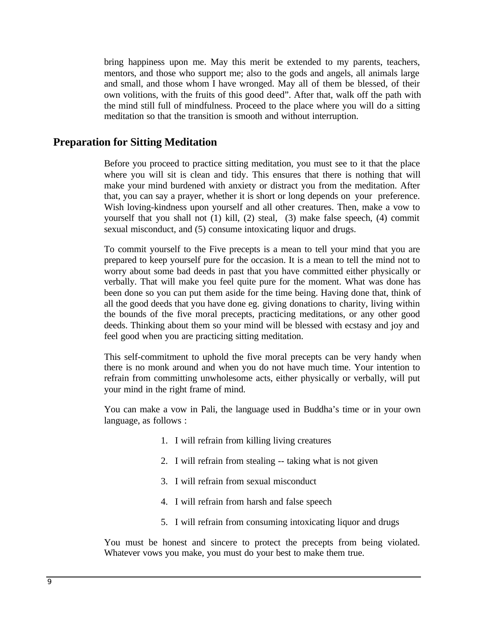bring happiness upon me. May this merit be extended to my parents, teachers, mentors, and those who support me; also to the gods and angels, all animals large and small, and those whom I have wronged. May all of them be blessed, of their own volitions, with the fruits of this good deed". After that, walk off the path with the mind still full of mindfulness. Proceed to the place where you will do a sitting meditation so that the transition is smooth and without interruption.

#### **Preparation for Sitting Meditation**

Before you proceed to practice sitting meditation, you must see to it that the place where you will sit is clean and tidy. This ensures that there is nothing that will make your mind burdened with anxiety or distract you from the meditation. After that, you can say a prayer, whether it is short or long depends on your preference. Wish loving-kindness upon yourself and all other creatures. Then, make a vow to yourself that you shall not (1) kill, (2) steal, (3) make false speech, (4) commit sexual misconduct, and (5) consume intoxicating liquor and drugs.

To commit yourself to the Five precepts is a mean to tell your mind that you are prepared to keep yourself pure for the occasion. It is a mean to tell the mind not to worry about some bad deeds in past that you have committed either physically or verbally. That will make you feel quite pure for the moment. What was done has been done so you can put them aside for the time being. Having done that, think of all the good deeds that you have done eg. giving donations to charity, living within the bounds of the five moral precepts, practicing meditations, or any other good deeds. Thinking about them so your mind will be blessed with ecstasy and joy and feel good when you are practicing sitting meditation.

This self-commitment to uphold the five moral precepts can be very handy when there is no monk around and when you do not have much time. Your intention to refrain from committing unwholesome acts, either physically or verbally, will put your mind in the right frame of mind.

You can make a vow in Pali, the language used in Buddha's time or in your own language, as follows :

- 1. I will refrain from killing living creatures
- 2. I will refrain from stealing -- taking what is not given
- 3. I will refrain from sexual misconduct
- 4. I will refrain from harsh and false speech
- 5. I will refrain from consuming intoxicating liquor and drugs

You must be honest and sincere to protect the precepts from being violated. Whatever vows you make, you must do your best to make them true.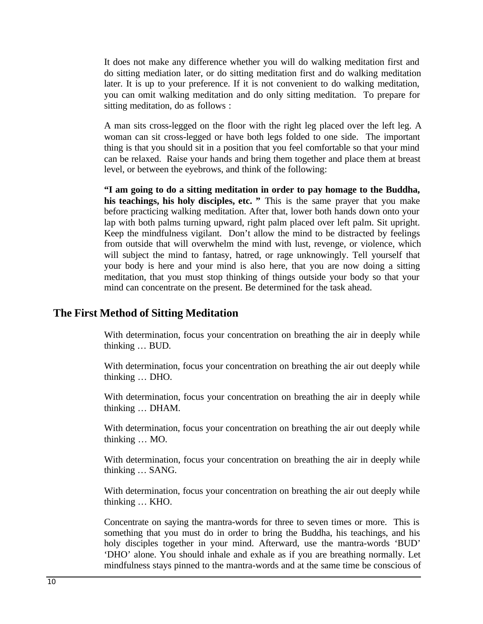It does not make any difference whether you will do walking meditation first and do sitting mediation later, or do sitting meditation first and do walking meditation later. It is up to your preference. If it is not convenient to do walking meditation, you can omit walking meditation and do only sitting meditation. To prepare for sitting meditation, do as follows :

A man sits cross-legged on the floor with the right leg placed over the left leg. A woman can sit cross-legged or have both legs folded to one side. The important thing is that you should sit in a position that you feel comfortable so that your mind can be relaxed. Raise your hands and bring them together and place them at breast level, or between the eyebrows, and think of the following:

**"I am going to do a sitting meditation in order to pay homage to the Buddha, his teachings, his holy disciples, etc. "** This is the same prayer that you make before practicing walking meditation. After that, lower both hands down onto your lap with both palms turning upward, right palm placed over left palm. Sit upright. Keep the mindfulness vigilant. Don't allow the mind to be distracted by feelings from outside that will overwhelm the mind with lust, revenge, or violence, which will subject the mind to fantasy, hatred, or rage unknowingly. Tell yourself that your body is here and your mind is also here, that you are now doing a sitting meditation, that you must stop thinking of things outside your body so that your mind can concentrate on the present. Be determined for the task ahead.

## **The First Method of Sitting Meditation**

With determination, focus your concentration on breathing the air in deeply while thinking … BUD.

With determination, focus your concentration on breathing the air out deeply while thinking … DHO.

With determination, focus your concentration on breathing the air in deeply while thinking … DHAM.

With determination, focus your concentration on breathing the air out deeply while thinking … MO.

With determination, focus your concentration on breathing the air in deeply while thinking … SANG.

With determination, focus your concentration on breathing the air out deeply while thinking … KHO.

Concentrate on saying the mantra-words for three to seven times or more. This is something that you must do in order to bring the Buddha, his teachings, and his holy disciples together in your mind. Afterward, use the mantra-words 'BUD' 'DHO' alone. You should inhale and exhale as if you are breathing normally. Let mindfulness stays pinned to the mantra-words and at the same time be conscious of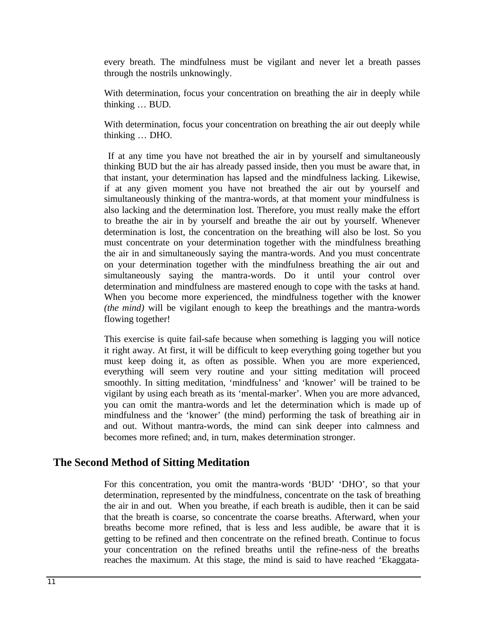every breath. The mindfulness must be vigilant and never let a breath passes through the nostrils unknowingly.

With determination, focus your concentration on breathing the air in deeply while thinking … BUD.

With determination, focus your concentration on breathing the air out deeply while thinking … DHO.

 If at any time you have not breathed the air in by yourself and simultaneously thinking BUD but the air has already passed inside, then you must be aware that, in that instant, your determination has lapsed and the mindfulness lacking. Likewise, if at any given moment you have not breathed the air out by yourself and simultaneously thinking of the mantra-words, at that moment your mindfulness is also lacking and the determination lost. Therefore, you must really make the effort to breathe the air in by yourself and breathe the air out by yourself. Whenever determination is lost, the concentration on the breathing will also be lost. So you must concentrate on your determination together with the mindfulness breathing the air in and simultaneously saying the mantra-words. And you must concentrate on your determination together with the mindfulness breathing the air out and simultaneously saying the mantra-words. Do it until your control over determination and mindfulness are mastered enough to cope with the tasks at hand. When you become more experienced, the mindfulness together with the knower *(the mind)* will be vigilant enough to keep the breathings and the mantra-words flowing together!

This exercise is quite fail-safe because when something is lagging you will notice it right away. At first, it will be difficult to keep everything going together but you must keep doing it, as often as possible. When you are more experienced, everything will seem very routine and your sitting meditation will proceed smoothly. In sitting meditation, 'mindfulness' and 'knower' will be trained to be vigilant by using each breath as its 'mental-marker'. When you are more advanced, you can omit the mantra-words and let the determination which is made up of mindfulness and the 'knower' (the mind) performing the task of breathing air in and out. Without mantra-words, the mind can sink deeper into calmness and becomes more refined; and, in turn, makes determination stronger.

## **The Second Method of Sitting Meditation**

For this concentration, you omit the mantra-words 'BUD' 'DHO', so that your determination, represented by the mindfulness, concentrate on the task of breathing the air in and out. When you breathe, if each breath is audible, then it can be said that the breath is coarse, so concentrate the coarse breaths. Afterward, when your breaths become more refined, that is less and less audible, be aware that it is getting to be refined and then concentrate on the refined breath. Continue to focus your concentration on the refined breaths until the refine-ness of the breaths reaches the maximum. At this stage, the mind is said to have reached 'Ekaggata-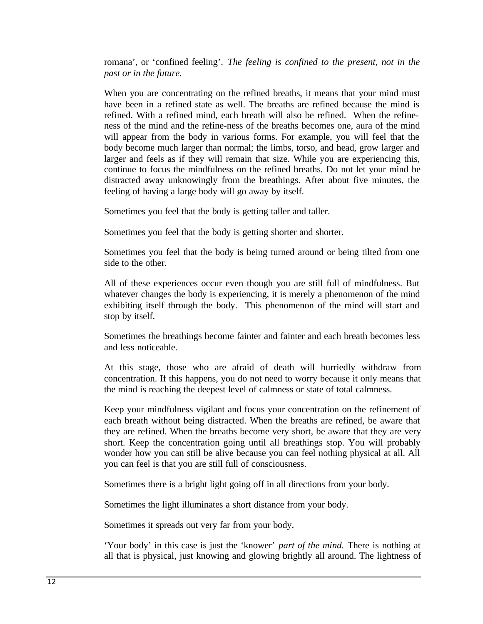romana', or 'confined feeling'. *The feeling is confined to the present, not in the past or in the future.*

When you are concentrating on the refined breaths, it means that your mind must have been in a refined state as well. The breaths are refined because the mind is refined. With a refined mind, each breath will also be refined. When the refineness of the mind and the refine-ness of the breaths becomes one, aura of the mind will appear from the body in various forms. For example, you will feel that the body become much larger than normal; the limbs, torso, and head, grow larger and larger and feels as if they will remain that size. While you are experiencing this, continue to focus the mindfulness on the refined breaths. Do not let your mind be distracted away unknowingly from the breathings. After about five minutes, the feeling of having a large body will go away by itself.

Sometimes you feel that the body is getting taller and taller.

Sometimes you feel that the body is getting shorter and shorter.

Sometimes you feel that the body is being turned around or being tilted from one side to the other.

All of these experiences occur even though you are still full of mindfulness. But whatever changes the body is experiencing, it is merely a phenomenon of the mind exhibiting itself through the body. This phenomenon of the mind will start and stop by itself.

Sometimes the breathings become fainter and fainter and each breath becomes less and less noticeable.

At this stage, those who are afraid of death will hurriedly withdraw from concentration. If this happens, you do not need to worry because it only means that the mind is reaching the deepest level of calmness or state of total calmness.

Keep your mindfulness vigilant and focus your concentration on the refinement of each breath without being distracted. When the breaths are refined, be aware that they are refined. When the breaths become very short, be aware that they are very short. Keep the concentration going until all breathings stop. You will probably wonder how you can still be alive because you can feel nothing physical at all. All you can feel is that you are still full of consciousness.

Sometimes there is a bright light going off in all directions from your body.

Sometimes the light illuminates a short distance from your body.

Sometimes it spreads out very far from your body.

'Your body' in this case is just the 'knower' *part of the mind.* There is nothing at all that is physical, just knowing and glowing brightly all around. The lightness of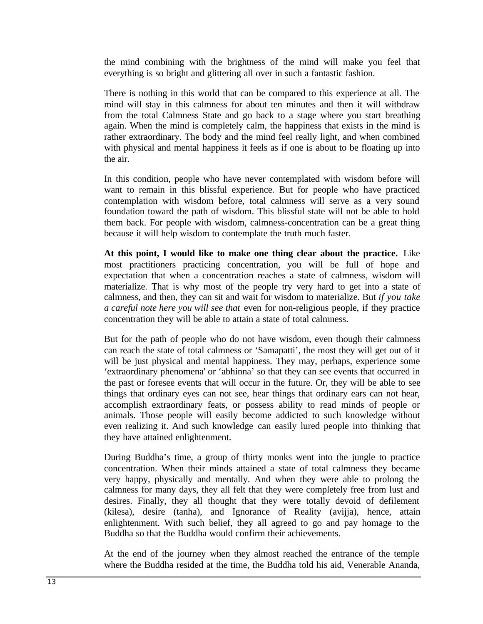the mind combining with the brightness of the mind will make you feel that everything is so bright and glittering all over in such a fantastic fashion.

There is nothing in this world that can be compared to this experience at all. The mind will stay in this calmness for about ten minutes and then it will withdraw from the total Calmness State and go back to a stage where you start breathing again. When the mind is completely calm, the happiness that exists in the mind is rather extraordinary. The body and the mind feel really light, and when combined with physical and mental happiness it feels as if one is about to be floating up into the air.

In this condition, people who have never contemplated with wisdom before will want to remain in this blissful experience. But for people who have practiced contemplation with wisdom before, total calmness will serve as a very sound foundation toward the path of wisdom. This blissful state will not be able to hold them back. For people with wisdom, calmness-concentration can be a great thing because it will help wisdom to contemplate the truth much faster.

**At this point, I would like to make one thing clear about the practice.** Like most practitioners practicing concentration, you will be full of hope and expectation that when a concentration reaches a state of calmness, wisdom will materialize. That is why most of the people try very hard to get into a state of calmness, and then, they can sit and wait for wisdom to materialize. But *if you take a careful note here you will see that* even for non-religious people, if they practice concentration they will be able to attain a state of total calmness.

But for the path of people who do not have wisdom, even though their calmness can reach the state of total calmness or 'Samapatti', the most they will get out of it will be just physical and mental happiness. They may, perhaps, experience some 'extraordinary phenomena' or 'abhinna' so that they can see events that occurred in the past or foresee events that will occur in the future. Or, they will be able to see things that ordinary eyes can not see, hear things that ordinary ears can not hear, accomplish extraordinary feats, or possess ability to read minds of people or animals. Those people will easily become addicted to such knowledge without even realizing it. And such knowledge can easily lured people into thinking that they have attained enlightenment.

During Buddha's time, a group of thirty monks went into the jungle to practice concentration. When their minds attained a state of total calmness they became very happy, physically and mentally. And when they were able to prolong the calmness for many days, they all felt that they were completely free from lust and desires. Finally, they all thought that they were totally devoid of defilement (kilesa), desire (tanha), and Ignorance of Reality (avijja), hence, attain enlightenment. With such belief, they all agreed to go and pay homage to the Buddha so that the Buddha would confirm their achievements.

At the end of the journey when they almost reached the entrance of the temple where the Buddha resided at the time, the Buddha told his aid, Venerable Ananda,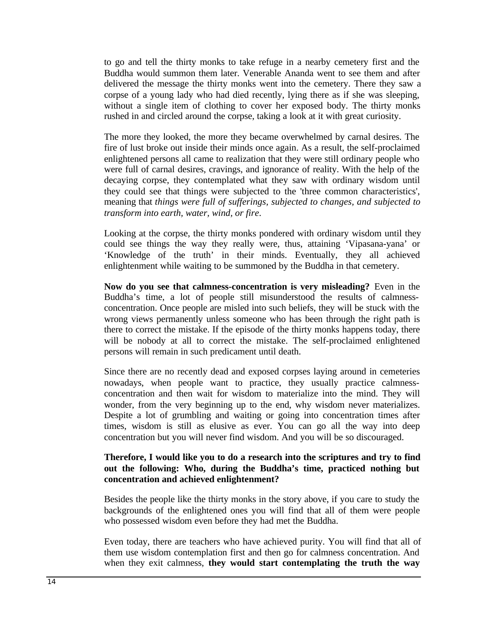to go and tell the thirty monks to take refuge in a nearby cemetery first and the Buddha would summon them later. Venerable Ananda went to see them and after delivered the message the thirty monks went into the cemetery. There they saw a corpse of a young lady who had died recently, lying there as if she was sleeping, without a single item of clothing to cover her exposed body. The thirty monks rushed in and circled around the corpse, taking a look at it with great curiosity.

The more they looked, the more they became overwhelmed by carnal desires. The fire of lust broke out inside their minds once again. As a result, the self-proclaimed enlightened persons all came to realization that they were still ordinary people who were full of carnal desires, cravings, and ignorance of reality. With the help of the decaying corpse, they contemplated what they saw with ordinary wisdom until they could see that things were subjected to the 'three common characteristics', meaning that *things were full of sufferings, subjected to changes, and subjected to transform into earth, water, wind, or fire*.

Looking at the corpse, the thirty monks pondered with ordinary wisdom until they could see things the way they really were, thus, attaining 'Vipasana-yana' or 'Knowledge of the truth' in their minds. Eventually, they all achieved enlightenment while waiting to be summoned by the Buddha in that cemetery.

**Now do you see that calmness-concentration is very misleading?** Even in the Buddha's time, a lot of people still misunderstood the results of calmnessconcentration. Once people are misled into such beliefs, they will be stuck with the wrong views permanently unless someone who has been through the right path is there to correct the mistake. If the episode of the thirty monks happens today, there will be nobody at all to correct the mistake. The self-proclaimed enlightened persons will remain in such predicament until death.

Since there are no recently dead and exposed corpses laying around in cemeteries nowadays, when people want to practice, they usually practice calmnessconcentration and then wait for wisdom to materialize into the mind. They will wonder, from the very beginning up to the end, why wisdom never materializes. Despite a lot of grumbling and waiting or going into concentration times after times, wisdom is still as elusive as ever. You can go all the way into deep concentration but you will never find wisdom. And you will be so discouraged.

#### **Therefore, I would like you to do a research into the scriptures and try to find out the following: Who, during the Buddha's time, practiced nothing but concentration and achieved enlightenment?**

Besides the people like the thirty monks in the story above, if you care to study the backgrounds of the enlightened ones you will find that all of them were people who possessed wisdom even before they had met the Buddha.

Even today, there are teachers who have achieved purity. You will find that all of them use wisdom contemplation first and then go for calmness concentration. And when they exit calmness, **they would start contemplating the truth the way**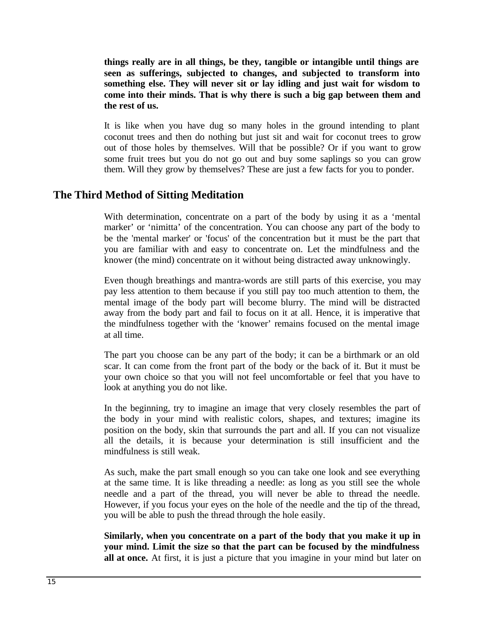**things really are in all things, be they, tangible or intangible until things are seen as sufferings, subjected to changes, and subjected to transform into something else. They will never sit or lay idling and just wait for wisdom to come into their minds. That is why there is such a big gap between them and the rest of us.**

It is like when you have dug so many holes in the ground intending to plant coconut trees and then do nothing but just sit and wait for coconut trees to grow out of those holes by themselves. Will that be possible? Or if you want to grow some fruit trees but you do not go out and buy some saplings so you can grow them. Will they grow by themselves? These are just a few facts for you to ponder.

## **The Third Method of Sitting Meditation**

With determination, concentrate on a part of the body by using it as a 'mental marker' or 'nimitta' of the concentration. You can choose any part of the body to be the 'mental marker' or 'focus' of the concentration but it must be the part that you are familiar with and easy to concentrate on. Let the mindfulness and the knower (the mind) concentrate on it without being distracted away unknowingly.

Even though breathings and mantra-words are still parts of this exercise, you may pay less attention to them because if you still pay too much attention to them, the mental image of the body part will become blurry. The mind will be distracted away from the body part and fail to focus on it at all. Hence, it is imperative that the mindfulness together with the 'knower' remains focused on the mental image at all time.

The part you choose can be any part of the body; it can be a birthmark or an old scar. It can come from the front part of the body or the back of it. But it must be your own choice so that you will not feel uncomfortable or feel that you have to look at anything you do not like.

In the beginning, try to imagine an image that very closely resembles the part of the body in your mind with realistic colors, shapes, and textures; imagine its position on the body, skin that surrounds the part and all. If you can not visualize all the details, it is because your determination is still insufficient and the mindfulness is still weak.

As such, make the part small enough so you can take one look and see everything at the same time. It is like threading a needle: as long as you still see the whole needle and a part of the thread, you will never be able to thread the needle. However, if you focus your eyes on the hole of the needle and the tip of the thread, you will be able to push the thread through the hole easily.

**Similarly, when you concentrate on a part of the body that you make it up in your mind. Limit the size so that the part can be focused by the mindfulness all at once.** At first, it is just a picture that you imagine in your mind but later on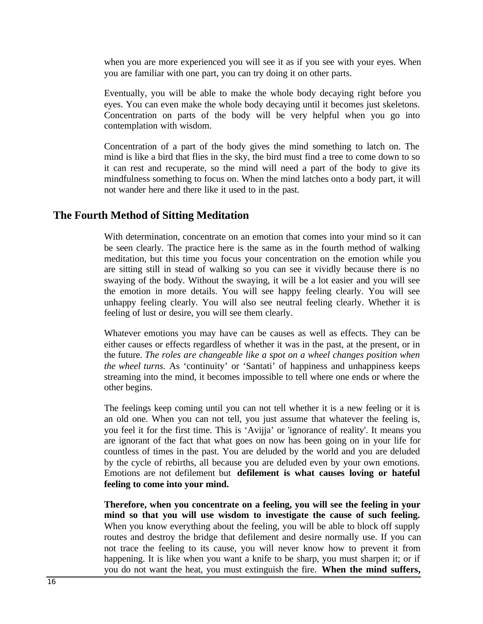when you are more experienced you will see it as if you see with your eyes. When you are familiar with one part, you can try doing it on other parts.

Eventually, you will be able to make the whole body decaying right before you eyes. You can even make the whole body decaying until it becomes just skeletons. Concentration on parts of the body will be very helpful when you go into contemplation with wisdom.

Concentration of a part of the body gives the mind something to latch on. The mind is like a bird that flies in the sky, the bird must find a tree to come down to so it can rest and recuperate, so the mind will need a part of the body to give its mindfulness something to focus on. When the mind latches onto a body part, it will not wander here and there like it used to in the past.

## **The Fourth Method of Sitting Meditation**

With determination, concentrate on an emotion that comes into your mind so it can be seen clearly. The practice here is the same as in the fourth method of walking meditation, but this time you focus your concentration on the emotion while you are sitting still in stead of walking so you can see it vividly because there is no swaying of the body. Without the swaying, it will be a lot easier and you will see the emotion in more details. You will see happy feeling clearly. You will see unhappy feeling clearly. You will also see neutral feeling clearly. Whether it is feeling of lust or desire, you will see them clearly.

Whatever emotions you may have can be causes as well as effects. They can be either causes or effects regardless of whether it was in the past, at the present, or in the future. *The roles are changeable like a spot on a wheel changes position when the wheel turns.* As 'continuity' or 'Santati' of happiness and unhappiness keeps streaming into the mind, it becomes impossible to tell where one ends or where the other begins.

The feelings keep coming until you can not tell whether it is a new feeling or it is an old one. When you can not tell, you just assume that whatever the feeling is, you feel it for the first time. This is 'Avijja' or 'ignorance of reality'. It means you are ignorant of the fact that what goes on now has been going on in your life for countless of times in the past. You are deluded by the world and you are deluded by the cycle of rebirths, all because you are deluded even by your own emotions. Emotions are not defilement but **defilement is what causes loving or hateful feeling to come into your mind.**

**Therefore, when you concentrate on a feeling, you will see the feeling in your mind so that you will use wisdom to investigate the cause of such feeling.** When you know everything about the feeling, you will be able to block off supply routes and destroy the bridge that defilement and desire normally use. If you can not trace the feeling to its cause, you will never know how to prevent it from happening. It is like when you want a knife to be sharp, you must sharpen it; or if you do not want the heat, you must extinguish the fire. **When the mind suffers,**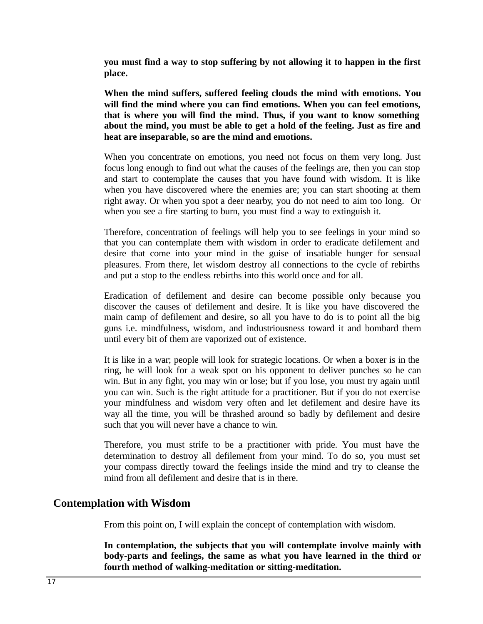**you must find a way to stop suffering by not allowing it to happen in the first place.**

**When the mind suffers, suffered feeling clouds the mind with emotions. You will find the mind where you can find emotions. When you can feel emotions, that is where you will find the mind. Thus, if you want to know something about the mind, you must be able to get a hold of the feeling. Just as fire and heat are inseparable, so are the mind and emotions.**

When you concentrate on emotions, you need not focus on them very long. Just focus long enough to find out what the causes of the feelings are, then you can stop and start to contemplate the causes that you have found with wisdom. It is like when you have discovered where the enemies are; you can start shooting at them right away. Or when you spot a deer nearby*,* you do not need to aim too long. Or when you see a fire starting to burn, you must find a way to extinguish it.

Therefore, concentration of feelings will help you to see feelings in your mind so that you can contemplate them with wisdom in order to eradicate defilement and desire that come into your mind in the guise of insatiable hunger for sensual pleasures. From there, let wisdom destroy all connections to the cycle of rebirths and put a stop to the endless rebirths into this world once and for all.

Eradication of defilement and desire can become possible only because you discover the causes of defilement and desire. It is like you have discovered the main camp of defilement and desire, so all you have to do is to point all the big guns i.e. mindfulness, wisdom, and industriousness toward it and bombard them until every bit of them are vaporized out of existence.

It is like in a war; people will look for strategic locations. Or when a boxer is in the ring, he will look for a weak spot on his opponent to deliver punches so he can win. But in any fight, you may win or lose; but if you lose, you must try again until you can win. Such is the right attitude for a practitioner. But if you do not exercise your mindfulness and wisdom very often and let defilement and desire have its way all the time, you will be thrashed around so badly by defilement and desire such that you will never have a chance to win.

Therefore, you must strife to be a practitioner with pride. You must have the determination to destroy all defilement from your mind. To do so, you must set your compass directly toward the feelings inside the mind and try to cleanse the mind from all defilement and desire that is in there.

## **Contemplation with Wisdom**

From this point on, I will explain the concept of contemplation with wisdom.

**In contemplation, the subjects that you will contemplate involve mainly with body-parts and feelings, the same as what you have learned in the third or fourth method of walking-meditation or sitting-meditation.**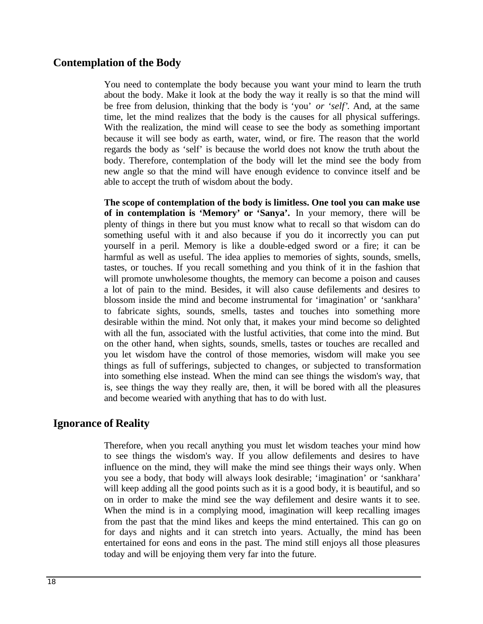## **Contemplation of the Body**

You need to contemplate the body because you want your mind to learn the truth about the body. Make it look at the body the way it really is so that the mind will be free from delusion, thinking that the body is 'you' *or 'self'*. And, at the same time, let the mind realizes that the body is the causes for all physical sufferings. With the realization, the mind will cease to see the body as something important because it will see body as earth, water, wind, or fire. The reason that the world regards the body as 'self' is because the world does not know the truth about the body. Therefore, contemplation of the body will let the mind see the body from new angle so that the mind will have enough evidence to convince itself and be able to accept the truth of wisdom about the body.

**The scope of contemplation of the body is limitless. One tool you can make use of in contemplation is 'Memory' or 'Sanya'.** In your memory, there will be plenty of things in there but you must know what to recall so that wisdom can do something useful with it and also because if you do it incorrectly you can put yourself in a peril. Memory is like a double-edged sword or a fire; it can be harmful as well as useful. The idea applies to memories of sights, sounds, smells, tastes, or touches. If you recall something and you think of it in the fashion that will promote unwholesome thoughts, the memory can become a poison and causes a lot of pain to the mind. Besides, it will also cause defilements and desires to blossom inside the mind and become instrumental for 'imagination' or 'sankhara' to fabricate sights, sounds, smells, tastes and touches into something more desirable within the mind. Not only that, it makes your mind become so delighted with all the fun, associated with the lustful activities, that come into the mind. But on the other hand, when sights, sounds, smells, tastes or touches are recalled and you let wisdom have the control of those memories, wisdom will make you see things as full of sufferings, subjected to changes, or subjected to transformation into something else instead. When the mind can see things the wisdom's way, that is, see things the way they really are, then, it will be bored with all the pleasures and become wearied with anything that has to do with lust.

## **Ignorance of Reality**

Therefore, when you recall anything you must let wisdom teaches your mind how to see things the wisdom's way. If you allow defilements and desires to have influence on the mind, they will make the mind see things their ways only. When you see a body, that body will always look desirable; 'imagination' or 'sankhara' will keep adding all the good points such as it is a good body, it is beautiful, and so on in order to make the mind see the way defilement and desire wants it to see. When the mind is in a complying mood, imagination will keep recalling images from the past that the mind likes and keeps the mind entertained. This can go on for days and nights and it can stretch into years. Actually, the mind has been entertained for eons and eons in the past. The mind still enjoys all those pleasures today and will be enjoying them very far into the future.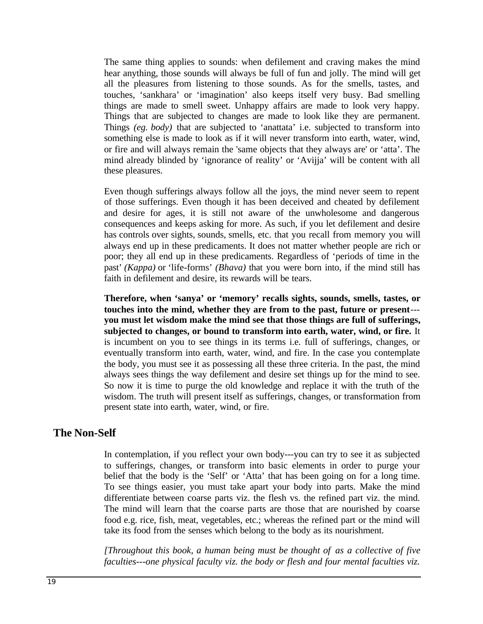The same thing applies to sounds: when defilement and craving makes the mind hear anything, those sounds will always be full of fun and jolly. The mind will get all the pleasures from listening to those sounds. As for the smells, tastes, and touches, 'sankhara' or 'imagination' also keeps itself very busy. Bad smelling things are made to smell sweet. Unhappy affairs are made to look very happy. Things that are subjected to changes are made to look like they are permanent. Things *(eg. body)* that are subjected to 'anattata' i.e. subjected to transform into something else is made to look as if it will never transform into earth, water, wind, or fire and will always remain the 'same objects that they always are' or 'atta'. The mind already blinded by 'ignorance of reality' or 'Avijja' will be content with all these pleasures.

Even though sufferings always follow all the joys, the mind never seem to repent of those sufferings. Even though it has been deceived and cheated by defilement and desire for ages, it is still not aware of the unwholesome and dangerous consequences and keeps asking for more. As such, if you let defilement and desire has controls over sights, sounds, smells, etc. that you recall from memory you will always end up in these predicaments. It does not matter whether people are rich or poor; they all end up in these predicaments. Regardless of 'periods of time in the past' *(Kappa)* or 'life-forms' *(Bhava)* that you were born into, if the mind still has faith in defilement and desire, its rewards will be tears.

**Therefore, when 'sanya' or 'memory' recalls sights, sounds, smells, tastes, or touches into the mind, whether they are from to the past, future or present**-- **you must let wisdom make the mind see that those things are full of sufferings, subjected to changes, or bound to transform into earth, water, wind, or fire.** It is incumbent on you to see things in its terms i.e. full of sufferings, changes, or eventually transform into earth, water, wind, and fire. In the case you contemplate the body, you must see it as possessing all these three criteria. In the past, the mind always sees things the way defilement and desire set things up for the mind to see. So now it is time to purge the old knowledge and replace it with the truth of the wisdom. The truth will present itself as sufferings, changes, or transformation from present state into earth, water, wind, or fire.

#### **The Non-Self**

In contemplation, if you reflect your own body---you can try to see it as subjected to sufferings, changes, or transform into basic elements in order to purge your belief that the body is the 'Self' or 'Atta' that has been going on for a long time. To see things easier, you must take apart your body into parts. Make the mind differentiate between coarse parts viz. the flesh vs. the refined part viz. the mind. The mind will learn that the coarse parts are those that are nourished by coarse food e.g. rice, fish, meat, vegetables, etc.; whereas the refined part or the mind will take its food from the senses which belong to the body as its nourishment.

*[Throughout this book, a human being must be thought of as a collective of five faculties---one physical faculty viz. the body or flesh and four mental faculties viz.*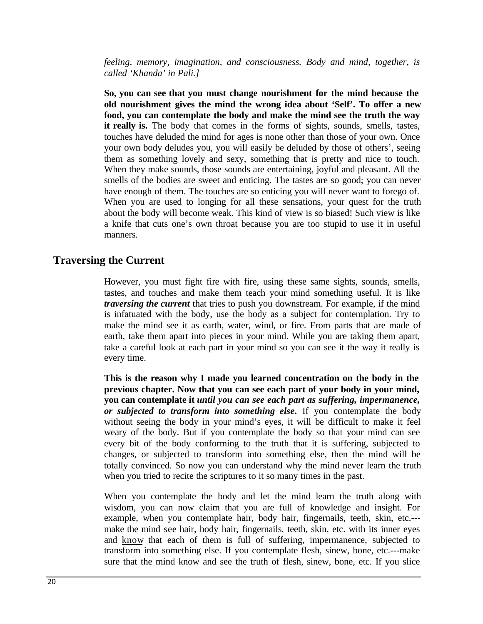*feeling, memory, imagination, and consciousness. Body and mind, together, is called 'Khanda' in Pali.]*

**So, you can see that you must change nourishment for the mind because the old nourishment gives the mind the wrong idea about 'Self'. To offer a new food, you can contemplate the body and make the mind see the truth the way it really is.** The body that comes in the forms of sights, sounds, smells, tastes, touches have deluded the mind for ages is none other than those of your own. Once your own body deludes you, you will easily be deluded by those of others', seeing them as something lovely and sexy, something that is pretty and nice to touch. When they make sounds, those sounds are entertaining, joyful and pleasant. All the smells of the bodies are sweet and enticing. The tastes are so good; you can never have enough of them. The touches are so enticing you will never want to forego of. When you are used to longing for all these sensations, your quest for the truth about the body will become weak. This kind of view is so biased! Such view is like a knife that cuts one's own throat because you are too stupid to use it in useful manners.

## **Traversing the Current**

However, you must fight fire with fire, using these same sights, sounds, smells, tastes, and touches and make them teach your mind something useful. It is like *traversing the current* that tries to push you downstream. For example, if the mind is infatuated with the body, use the body as a subject for contemplation. Try to make the mind see it as earth, water, wind, or fire. From parts that are made of earth, take them apart into pieces in your mind. While you are taking them apart, take a careful look at each part in your mind so you can see it the way it really is every time.

**This is the reason why I made you learned concentration on the body in the previous chapter. Now that you can see each part of your body in your mind, you can contemplate it** *until you can see each part as suffering, impermanence, or subjected to transform into something else***.** If you contemplate the body without seeing the body in your mind's eyes, it will be difficult to make it feel weary of the body. But if you contemplate the body so that your mind can see every bit of the body conforming to the truth that it is suffering, subjected to changes, or subjected to transform into something else, then the mind will be totally convinced. So now you can understand why the mind never learn the truth when you tried to recite the scriptures to it so many times in the past.

When you contemplate the body and let the mind learn the truth along with wisdom, you can now claim that you are full of knowledge and insight. For example, when you contemplate hair, body hair, fingernails, teeth, skin, etc.-- make the mind see hair, body hair, fingernails, teeth, skin, etc. with its inner eyes and know that each of them is full of suffering, impermanence, subjected to transform into something else. If you contemplate flesh, sinew, bone, etc.---make sure that the mind know and see the truth of flesh, sinew, bone, etc. If you slice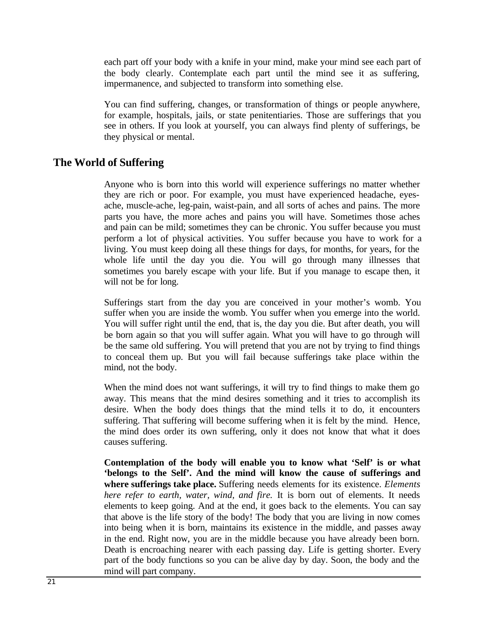each part off your body with a knife in your mind, make your mind see each part of the body clearly. Contemplate each part until the mind see it as suffering, impermanence, and subjected to transform into something else.

You can find suffering, changes, or transformation of things or people anywhere, for example, hospitals, jails, or state penitentiaries. Those are sufferings that you see in others. If you look at yourself, you can always find plenty of sufferings, be they physical or mental.

## **The World of Suffering**

Anyone who is born into this world will experience sufferings no matter whether they are rich or poor. For example, you must have experienced headache, eyesache, muscle-ache, leg-pain, waist-pain, and all sorts of aches and pains. The more parts you have, the more aches and pains you will have. Sometimes those aches and pain can be mild; sometimes they can be chronic. You suffer because you must perform a lot of physical activities. You suffer because you have to work for a living. You must keep doing all these things for days, for months, for years, for the whole life until the day you die. You will go through many illnesses that sometimes you barely escape with your life. But if you manage to escape then, it will not be for long.

Sufferings start from the day you are conceived in your mother's womb. You suffer when you are inside the womb. You suffer when you emerge into the world. You will suffer right until the end, that is, the day you die. But after death, you will be born again so that you will suffer again. What you will have to go through will be the same old suffering. You will pretend that you are not by trying to find things to conceal them up. But you will fail because sufferings take place within the mind, not the body.

When the mind does not want sufferings, it will try to find things to make them go away. This means that the mind desires something and it tries to accomplish its desire. When the body does things that the mind tells it to do, it encounters suffering. That suffering will become suffering when it is felt by the mind. Hence, the mind does order its own suffering, only it does not know that what it does causes suffering.

**Contemplation of the body will enable you to know what 'Self' is or what 'belongs to the Self'. And the mind will know the cause of sufferings and where sufferings take place.** Suffering needs elements for its existence. *Elements here refer to earth, water, wind, and fire.* It is born out of elements. It needs elements to keep going. And at the end, it goes back to the elements. You can say that above is the life story of the body! The body that you are living in now comes into being when it is born, maintains its existence in the middle, and passes away in the end. Right now, you are in the middle because you have already been born. Death is encroaching nearer with each passing day. Life is getting shorter. Every part of the body functions so you can be alive day by day. Soon, the body and the mind will part company.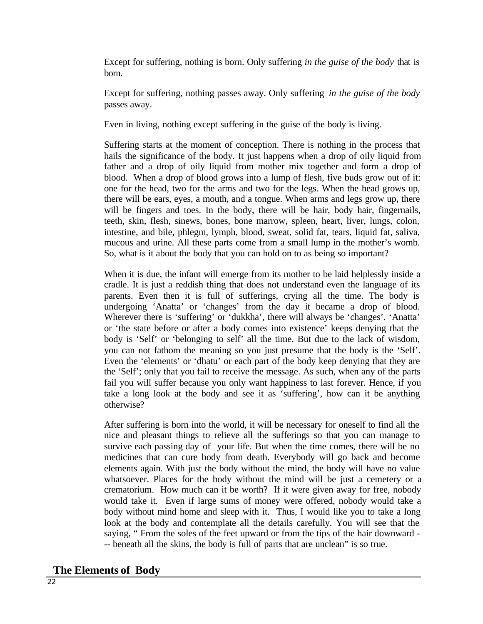Except for suffering, nothing is born. Only suffering *in the guise of the body* that is born.

Except for suffering, nothing passes away. Only suffering *in the guise of the body* passes away.

Even in living, nothing except suffering in the guise of the body is living.

Suffering starts at the moment of conception. There is nothing in the process that hails the significance of the body. It just happens when a drop of oily liquid from father and a drop of oily liquid from mother mix together and form a drop of blood. When a drop of blood grows into a lump of flesh, five buds grow out of it: one for the head, two for the arms and two for the legs. When the head grows up, there will be ears, eyes, a mouth, and a tongue. When arms and legs grow up, there will be fingers and toes. In the body, there will be hair, body hair, fingernails, teeth, skin, flesh, sinews, bones, bone marrow, spleen, heart, liver, lungs, colon, intestine, and bile, phlegm, lymph, blood, sweat, solid fat, tears, liquid fat, saliva, mucous and urine. All these parts come from a small lump in the mother's womb. So, what is it about the body that you can hold on to as being so important?

When it is due, the infant will emerge from its mother to be laid helplessly inside a cradle. It is just a reddish thing that does not understand even the language of its parents. Even then it is full of sufferings, crying all the time. The body is undergoing 'Anatta' or 'changes' from the day it became a drop of blood. Wherever there is 'suffering' or 'dukkha', there will always be 'changes'. 'Anatta' or 'the state before or after a body comes into existence' keeps denying that the body is 'Self' or 'belonging to self' all the time. But due to the lack of wisdom, you can not fathom the meaning so you just presume that the body is the 'Self'. Even the 'elements' or 'dhatu' or each part of the body keep denying that they are the 'Self'; only that you fail to receive the message. As such, when any of the parts fail you will suffer because you only want happiness to last forever. Hence, if you take a long look at the body and see it as 'suffering', how can it be anything otherwise?

After suffering is born into the world, it will be necessary for oneself to find all the nice and pleasant things to relieve all the sufferings so that you can manage to survive each passing day of your life. But when the time comes, there will be no medicines that can cure body from death. Everybody will go back and become elements again. With just the body without the mind, the body will have no value whatsoever. Places for the body without the mind will be just a cemetery or a crematorium. How much can it be worth? If it were given away for free, nobody would take it. Even if large sums of money were offered, nobody would take a body without mind home and sleep with it. Thus, I would like you to take a long look at the body and contemplate all the details carefully. You will see that the saying, " From the soles of the feet upward or from the tips of the hair downward - -- beneath all the skins, the body is full of parts that are unclean" is so true.

## **The Elements of Body**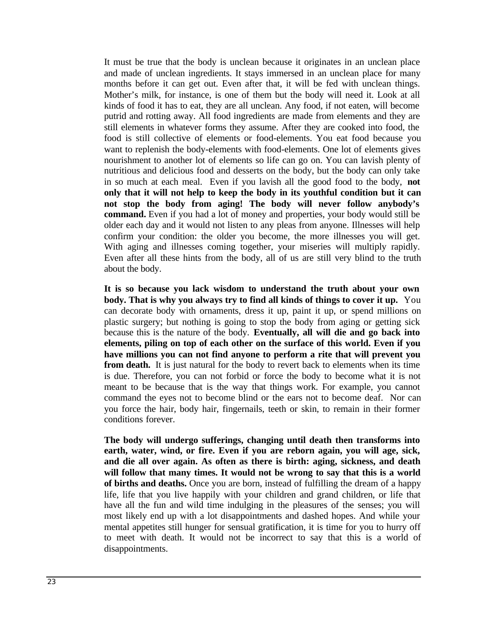It must be true that the body is unclean because it originates in an unclean place and made of unclean ingredients. It stays immersed in an unclean place for many months before it can get out. Even after that, it will be fed with unclean things. Mother's milk, for instance, is one of them but the body will need it. Look at all kinds of food it has to eat, they are all unclean. Any food, if not eaten, will become putrid and rotting away. All food ingredients are made from elements and they are still elements in whatever forms they assume. After they are cooked into food, the food is still collective of elements or food-elements. You eat food because you want to replenish the body-elements with food-elements. One lot of elements gives nourishment to another lot of elements so life can go on. You can lavish plenty of nutritious and delicious food and desserts on the body, but the body can only take in so much at each meal. Even if you lavish all the good food to the body, **not only that it will not help to keep the body in its youthful condition but it can not stop the body from aging! The body will never follow anybody's command.** Even if you had a lot of money and properties, your body would still be older each day and it would not listen to any pleas from anyone. Illnesses will help confirm your condition: the older you become, the more illnesses you will get. With aging and illnesses coming together, your miseries will multiply rapidly. Even after all these hints from the body, all of us are still very blind to the truth about the body.

**It is so because you lack wisdom to understand the truth about your own body. That is why you always try to find all kinds of things to cover it up.** You can decorate body with ornaments, dress it up, paint it up, or spend millions on plastic surgery; but nothing is going to stop the body from aging or getting sick because this is the nature of the body. **Eventually, all will die and go back into elements, piling on top of each other on the surface of this world. Even if you have millions you can not find anyone to perform a rite that will prevent you from death.** It is just natural for the body to revert back to elements when its time is due. Therefore, you can not forbid or force the body to become what it is not meant to be because that is the way that things work. For example, you cannot command the eyes not to become blind or the ears not to become deaf. Nor can you force the hair, body hair, fingernails, teeth or skin, to remain in their former conditions forever.

**The body will undergo sufferings, changing until death then transforms into earth, water, wind, or fire. Even if you are reborn again, you will age, sick, and die all over again. As often as there is birth: aging, sickness, and death will follow that many times. It would not be wrong to say that this is a world of births and deaths.** Once you are born, instead of fulfilling the dream of a happy life, life that you live happily with your children and grand children, or life that have all the fun and wild time indulging in the pleasures of the senses; you will most likely end up with a lot disappointments and dashed hopes. And while your mental appetites still hunger for sensual gratification, it is time for you to hurry off to meet with death. It would not be incorrect to say that this is a world of disappointments.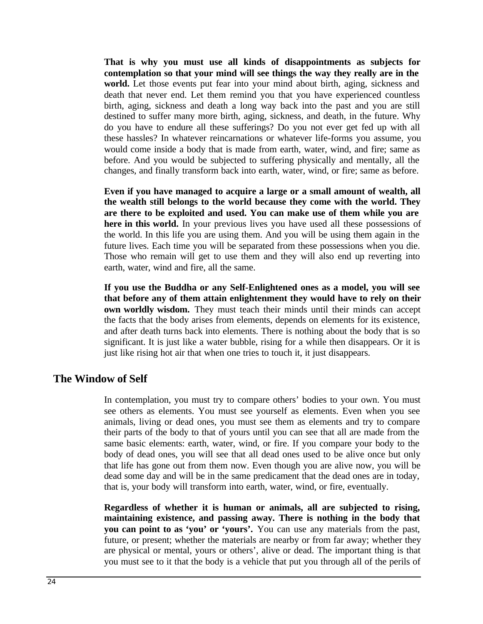**That is why you must use all kinds of disappointments as subjects for contemplation so that your mind will see things the way they really are in the world.** Let those events put fear into your mind about birth, aging, sickness and death that never end. Let them remind you that you have experienced countless birth, aging, sickness and death a long way back into the past and you are still destined to suffer many more birth, aging, sickness, and death, in the future. Why do you have to endure all these sufferings? Do you not ever get fed up with all these hassles? In whatever reincarnations or whatever life-forms you assume, you would come inside a body that is made from earth, water, wind, and fire; same as before. And you would be subjected to suffering physically and mentally, all the changes, and finally transform back into earth, water, wind, or fire; same as before.

**Even if you have managed to acquire a large or a small amount of wealth, all the wealth still belongs to the world because they come with the world. They are there to be exploited and used. You can make use of them while you are here in this world.** In your previous lives you have used all these possessions of the world. In this life you are using them. And you will be using them again in the future lives. Each time you will be separated from these possessions when you die. Those who remain will get to use them and they will also end up reverting into earth, water, wind and fire, all the same.

**If you use the Buddha or any Self-Enlightened ones as a model, you will see that before any of them attain enlightenment they would have to rely on their own worldly wisdom.** They must teach their minds until their minds can accept the facts that the body arises from elements, depends on elements for its existence, and after death turns back into elements. There is nothing about the body that is so significant. It is just like a water bubble, rising for a while then disappears. Or it is just like rising hot air that when one tries to touch it, it just disappears.

#### **The Window of Self**

In contemplation, you must try to compare others' bodies to your own. You must see others as elements. You must see yourself as elements. Even when you see animals, living or dead ones, you must see them as elements and try to compare their parts of the body to that of yours until you can see that all are made from the same basic elements: earth, water, wind, or fire. If you compare your body to the body of dead ones, you will see that all dead ones used to be alive once but only that life has gone out from them now. Even though you are alive now, you will be dead some day and will be in the same predicament that the dead ones are in today, that is, your body will transform into earth, water, wind, or fire, eventually.

**Regardless of whether it is human or animals, all are subjected to rising, maintaining existence, and passing away. There is nothing in the body that you can point to as 'you' or 'yours'.** You can use any materials from the past, future, or present; whether the materials are nearby or from far away; whether they are physical or mental, yours or others', alive or dead. The important thing is that you must see to it that the body is a vehicle that put you through all of the perils of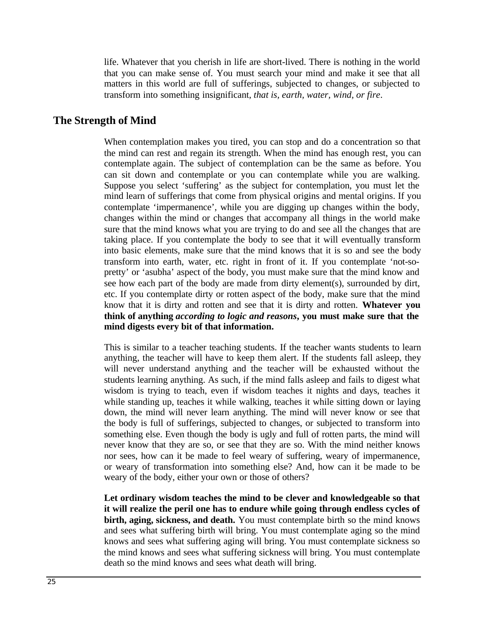life. Whatever that you cherish in life are short-lived. There is nothing in the world that you can make sense of. You must search your mind and make it see that all matters in this world are full of sufferings, subjected to changes, or subjected to transform into something insignificant*, that is, earth, water, wind, or fire*.

## **The Strength of Mind**

When contemplation makes you tired, you can stop and do a concentration so that the mind can rest and regain its strength. When the mind has enough rest, you can contemplate again. The subject of contemplation can be the same as before. You can sit down and contemplate or you can contemplate while you are walking. Suppose you select 'suffering' as the subject for contemplation, you must let the mind learn of sufferings that come from physical origins and mental origins. If you contemplate 'impermanence', while you are digging up changes within the body, changes within the mind or changes that accompany all things in the world make sure that the mind knows what you are trying to do and see all the changes that are taking place. If you contemplate the body to see that it will eventually transform into basic elements, make sure that the mind knows that it is so and see the body transform into earth, water, etc. right in front of it. If you contemplate 'not-sopretty' or 'asubha' aspect of the body, you must make sure that the mind know and see how each part of the body are made from dirty element(s), surrounded by dirt, etc. If you contemplate dirty or rotten aspect of the body, make sure that the mind know that it is dirty and rotten and see that it is dirty and rotten. **Whatever you think of anything** *according to logic and reasons***, you must make sure that the mind digests every bit of that information.**

This is similar to a teacher teaching students. If the teacher wants students to learn anything, the teacher will have to keep them alert. If the students fall asleep, they will never understand anything and the teacher will be exhausted without the students learning anything. As such, if the mind falls asleep and fails to digest what wisdom is trying to teach, even if wisdom teaches it nights and days, teaches it while standing up, teaches it while walking, teaches it while sitting down or laying down, the mind will never learn anything. The mind will never know or see that the body is full of sufferings, subjected to changes, or subjected to transform into something else. Even though the body is ugly and full of rotten parts, the mind will never know that they are so, or see that they are so. With the mind neither knows nor sees, how can it be made to feel weary of suffering, weary of impermanence, or weary of transformation into something else? And, how can it be made to be weary of the body, either your own or those of others?

**Let ordinary wisdom teaches the mind to be clever and knowledgeable so that it will realize the peril one has to endure while going through endless cycles of birth, aging, sickness, and death.** You must contemplate birth so the mind knows and sees what suffering birth will bring. You must contemplate aging so the mind knows and sees what suffering aging will bring. You must contemplate sickness so the mind knows and sees what suffering sickness will bring. You must contemplate death so the mind knows and sees what death will bring.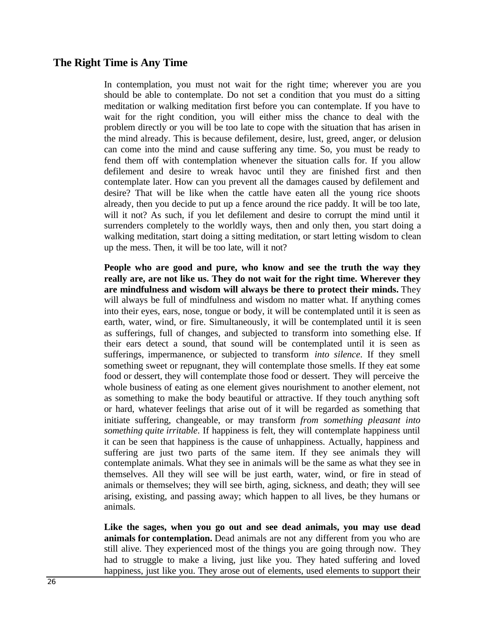#### **The Right Time is Any Time**

In contemplation, you must not wait for the right time; wherever you are you should be able to contemplate. Do not set a condition that you must do a sitting meditation or walking meditation first before you can contemplate. If you have to wait for the right condition, you will either miss the chance to deal with the problem directly or you will be too late to cope with the situation that has arisen in the mind already. This is because defilement, desire, lust, greed, anger, or delusion can come into the mind and cause suffering any time. So, you must be ready to fend them off with contemplation whenever the situation calls for. If you allow defilement and desire to wreak havoc until they are finished first and then contemplate later. How can you prevent all the damages caused by defilement and desire? That will be like when the cattle have eaten all the young rice shoots already, then you decide to put up a fence around the rice paddy. It will be too late, will it not? As such, if you let defilement and desire to corrupt the mind until it surrenders completely to the worldly ways, then and only then, you start doing a walking meditation, start doing a sitting meditation, or start letting wisdom to clean up the mess. Then, it will be too late, will it not?

**People who are good and pure, who know and see the truth the way they really are, are not like us. They do not wait for the right time. Wherever they are mindfulness and wisdom will always be there to protect their minds.** They will always be full of mindfulness and wisdom no matter what. If anything comes into their eyes, ears, nose, tongue or body, it will be contemplated until it is seen as earth, water, wind, or fire. Simultaneously, it will be contemplated until it is seen as sufferings, full of changes, and subjected to transform into something else. If their ears detect a sound, that sound will be contemplated until it is seen as sufferings, impermanence, or subjected to transform *into silence*. If they smell something sweet or repugnant, they will contemplate those smells. If they eat some food or dessert, they will contemplate those food or dessert. They will perceive the whole business of eating as one element gives nourishment to another element, not as something to make the body beautiful or attractive. If they touch anything soft or hard, whatever feelings that arise out of it will be regarded as something that initiate suffering, changeable, or may transform *from something pleasant into something quite irritable*. If happiness is felt, they will contemplate happiness until it can be seen that happiness is the cause of unhappiness. Actually, happiness and suffering are just two parts of the same item. If they see animals they will contemplate animals. What they see in animals will be the same as what they see in themselves. All they will see will be just earth, water, wind, or fire in stead of animals or themselves; they will see birth, aging, sickness, and death; they will see arising, existing, and passing away; which happen to all lives, be they humans or animals.

**Like the sages, when you go out and see dead animals, you may use dead animals for contemplation.** Dead animals are not any different from you who are still alive. They experienced most of the things you are going through now. They had to struggle to make a living, just like you. They hated suffering and loved happiness, just like you. They arose out of elements, used elements to support their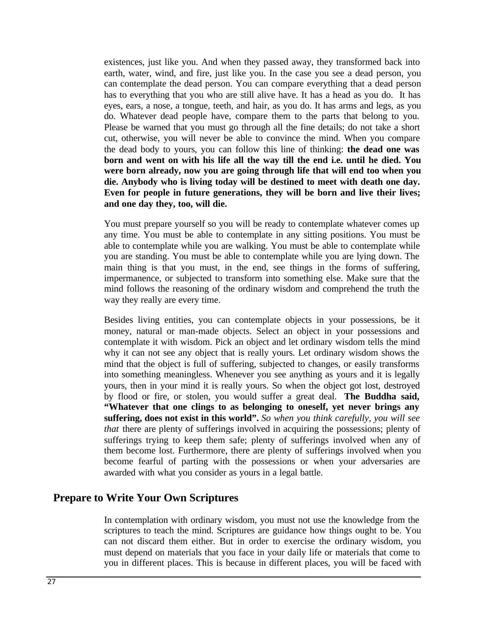existences, just like you. And when they passed away, they transformed back into earth, water, wind, and fire, just like you. In the case you see a dead person, you can contemplate the dead person. You can compare everything that a dead person has to everything that you who are still alive have. It has a head as you do. It has eyes, ears, a nose, a tongue, teeth, and hair, as you do. It has arms and legs, as you do. Whatever dead people have, compare them to the parts that belong to you. Please be warned that you must go through all the fine details; do not take a short cut, otherwise, you will never be able to convince the mind. When you compare the dead body to yours, you can follow this line of thinking: **the dead one was born and went on with his life all the way till the end i.e. until he died. You were born already, now you are going through life that will end too when you die. Anybody who is living today will be destined to meet with death one day. Even for people in future generations, they will be born and live their lives; and one day they, too, will die.**

You must prepare yourself so you will be ready to contemplate whatever comes up any time. You must be able to contemplate in any sitting positions. You must be able to contemplate while you are walking. You must be able to contemplate while you are standing. You must be able to contemplate while you are lying down. The main thing is that you must, in the end, see things in the forms of suffering, impermanence, or subjected to transform into something else. Make sure that the mind follows the reasoning of the ordinary wisdom and comprehend the truth the way they really are every time.

Besides living entities, you can contemplate objects in your possessions, be it money, natural or man-made objects. Select an object in your possessions and contemplate it with wisdom. Pick an object and let ordinary wisdom tells the mind why it can not see any object that is really yours. Let ordinary wisdom shows the mind that the object is full of suffering, subjected to changes, or easily transforms into something meaningless. Whenever you see anything as yours and it is legally yours, then in your mind it is really yours. So when the object got lost, destroyed by flood or fire, or stolen, you would suffer a great deal. **The Buddha said, "Whatever that one clings to as belonging to oneself, yet never brings any suffering, does not exist in this world".** *So when you think carefully, you will see that* there are plenty of sufferings involved in acquiring the possessions; plenty of sufferings trying to keep them safe; plenty of sufferings involved when any of them become lost. Furthermore, there are plenty of sufferings involved when you become fearful of parting with the possessions or when your adversaries are awarded with what you consider as yours in a legal battle.

## **Prepare to Write Your Own Scriptures**

In contemplation with ordinary wisdom, you must not use the knowledge from the scriptures to teach the mind. Scriptures are guidance how things ought to be. You can not discard them either. But in order to exercise the ordinary wisdom, you must depend on materials that you face in your daily life or materials that come to you in different places. This is because in different places, you will be faced with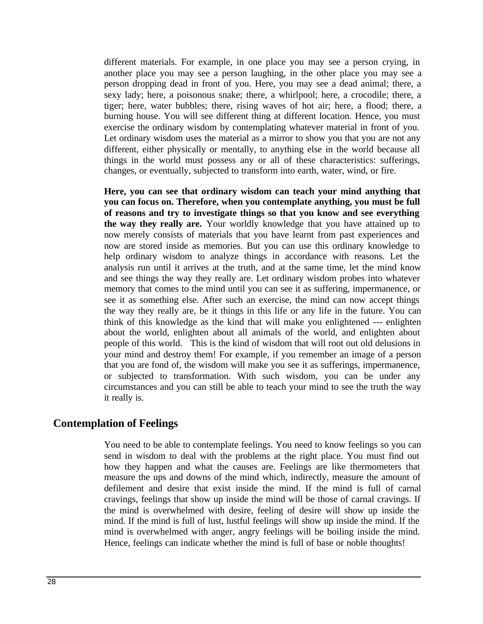different materials. For example, in one place you may see a person crying, in another place you may see a person laughing, in the other place you may see a person dropping dead in front of you. Here, you may see a dead animal; there, a sexy lady; here, a poisonous snake; there, a whirlpool; here, a crocodile; there, a tiger; here, water bubbles; there, rising waves of hot air; here, a flood; there, a burning house. You will see different thing at different location. Hence, you must exercise the ordinary wisdom by contemplating whatever material in front of you. Let ordinary wisdom uses the material as a mirror to show you that you are not any different, either physically or mentally, to anything else in the world because all things in the world must possess any or all of these characteristics: sufferings, changes, or eventually, subjected to transform into earth, water, wind, or fire.

**Here, you can see that ordinary wisdom can teach your mind anything that you can focus on. Therefore, when you contemplate anything, you must be full of reasons and try to investigate things so that you know and see everything the way they really are.** Your worldly knowledge that you have attained up to now merely consists of materials that you have learnt from past experiences and now are stored inside as memories. But you can use this ordinary knowledge to help ordinary wisdom to analyze things in accordance with reasons. Let the analysis run until it arrives at the truth, and at the same time, let the mind know and see things the way they really are. Let ordinary wisdom probes into whatever memory that comes to the mind until you can see it as suffering, impermanence, or see it as something else. After such an exercise, the mind can now accept things the way they really are, be it things in this life or any life in the future. You can think of this knowledge as the kind that will make you enlightened --- enlighten about the world, enlighten about all animals of the world, and enlighten about people of this world. This is the kind of wisdom that will root out old delusions in your mind and destroy them! For example, if you remember an image of a person that you are fond of, the wisdom will make you see it as sufferings, impermanence, or subjected to transformation. With such wisdom, you can be under any circumstances and you can still be able to teach your mind to see the truth the way it really is.

## **Contemplation of Feelings**

You need to be able to contemplate feelings. You need to know feelings so you can send in wisdom to deal with the problems at the right place. You must find out how they happen and what the causes are. Feelings are like thermometers that measure the ups and downs of the mind which, indirectly, measure the amount of defilement and desire that exist inside the mind. If the mind is full of carnal cravings, feelings that show up inside the mind will be those of carnal cravings. If the mind is overwhelmed with desire, feeling of desire will show up inside the mind. If the mind is full of lust, lustful feelings will show up inside the mind. If the mind is overwhelmed with anger, angry feelings will be boiling inside the mind. Hence, feelings can indicate whether the mind is full of base or noble thoughts!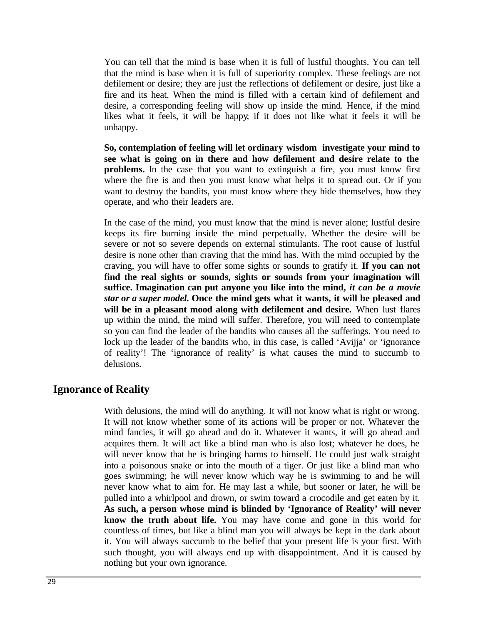You can tell that the mind is base when it is full of lustful thoughts. You can tell that the mind is base when it is full of superiority complex. These feelings are not defilement or desire; they are just the reflections of defilement or desire, just like a fire and its heat. When the mind is filled with a certain kind of defilement and desire, a corresponding feeling will show up inside the mind. Hence, if the mind likes what it feels, it will be happy; if it does not like what it feels it will be unhappy.

**So, contemplation of feeling will let ordinary wisdom investigate your mind to see what is going on in there and how defilement and desire relate to the problems.** In the case that you want to extinguish a fire, you must know first where the fire is and then you must know what helps it to spread out. Or if you want to destroy the bandits, you must know where they hide themselves, how they operate, and who their leaders are.

In the case of the mind, you must know that the mind is never alone; lustful desire keeps its fire burning inside the mind perpetually. Whether the desire will be severe or not so severe depends on external stimulants. The root cause of lustful desire is none other than craving that the mind has. With the mind occupied by the craving, you will have to offer some sights or sounds to gratify it. **If you can not find the real sights or sounds, sights or sounds from your imagination will suffice. Imagination can put anyone you like into the mind,** *it can be a movie star or a super model.* **Once the mind gets what it wants, it will be pleased and will be in a pleasant mood along with defilement and desire.** When lust flares up within the mind, the mind will suffer. Therefore, you will need to contemplate so you can find the leader of the bandits who causes all the sufferings. You need to lock up the leader of the bandits who, in this case, is called 'Avijja' or 'ignorance of reality'! The 'ignorance of reality' is what causes the mind to succumb to delusions.

## **Ignorance of Reality**

With delusions, the mind will do anything. It will not know what is right or wrong. It will not know whether some of its actions will be proper or not. Whatever the mind fancies, it will go ahead and do it. Whatever it wants, it will go ahead and acquires them. It will act like a blind man who is also lost; whatever he does, he will never know that he is bringing harms to himself. He could just walk straight into a poisonous snake or into the mouth of a tiger. Or just like a blind man who goes swimming; he will never know which way he is swimming to and he will never know what to aim for. He may last a while, but sooner or later, he will be pulled into a whirlpool and drown, or swim toward a crocodile and get eaten by it. **As such, a person whose mind is blinded by 'Ignorance of Reality' will never know the truth about life.** You may have come and gone in this world for countless of times, but like a blind man you will always be kept in the dark about it. You will always succumb to the belief that your present life is your first. With such thought, you will always end up with disappointment. And it is caused by nothing but your own ignorance.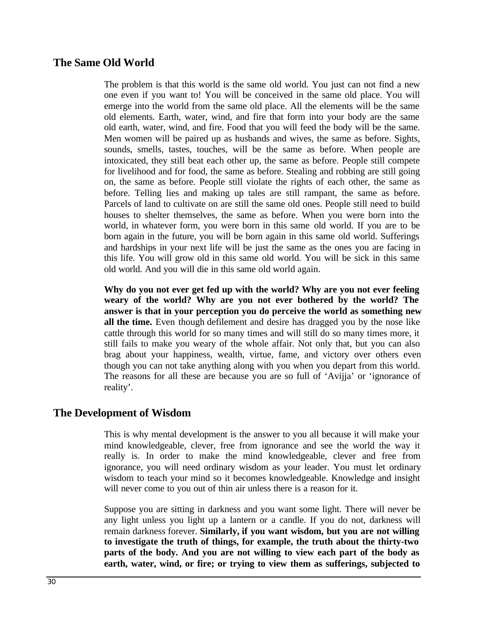## **The Same Old World**

The problem is that this world is the same old world. You just can not find a new one even if you want to! You will be conceived in the same old place. You will emerge into the world from the same old place. All the elements will be the same old elements. Earth, water, wind, and fire that form into your body are the same old earth, water, wind, and fire. Food that you will feed the body will be the same. Men women will be paired up as husbands and wives, the same as before. Sights, sounds, smells, tastes, touches, will be the same as before. When people are intoxicated, they still beat each other up, the same as before. People still compete for livelihood and for food, the same as before. Stealing and robbing are still going on, the same as before. People still violate the rights of each other, the same as before. Telling lies and making up tales are still rampant, the same as before. Parcels of land to cultivate on are still the same old ones. People still need to build houses to shelter themselves, the same as before. When you were born into the world, in whatever form, you were born in this same old world. If you are to be born again in the future, you will be born again in this same old world. Sufferings and hardships in your next life will be just the same as the ones you are facing in this life. You will grow old in this same old world. You will be sick in this same old world. And you will die in this same old world again.

**Why do you not ever get fed up with the world? Why are you not ever feeling weary of the world? Why are you not ever bothered by the world? The answer is that in your perception you do perceive the world as something new all the time.** Even though defilement and desire has dragged you by the nose like cattle through this world for so many times and will still do so many times more, it still fails to make you weary of the whole affair. Not only that, but you can also brag about your happiness, wealth, virtue, fame, and victory over others even though you can not take anything along with you when you depart from this world. The reasons for all these are because you are so full of 'Avijja' or 'ignorance of reality'.

## **The Development of Wisdom**

This is why mental development is the answer to you all because it will make your mind knowledgeable, clever, free from ignorance and see the world the way it really is. In order to make the mind knowledgeable, clever and free from ignorance, you will need ordinary wisdom as your leader. You must let ordinary wisdom to teach your mind so it becomes knowledgeable. Knowledge and insight will never come to you out of thin air unless there is a reason for it.

Suppose you are sitting in darkness and you want some light. There will never be any light unless you light up a lantern or a candle. If you do not, darkness will remain darkness forever. **Similarly, if you want wisdom, but you are not willing to investigate the truth of things, for example, the truth about the thirty-two parts of the body. And you are not willing to view each part of the body as earth, water, wind, or fire; or trying to view them as sufferings, subjected to**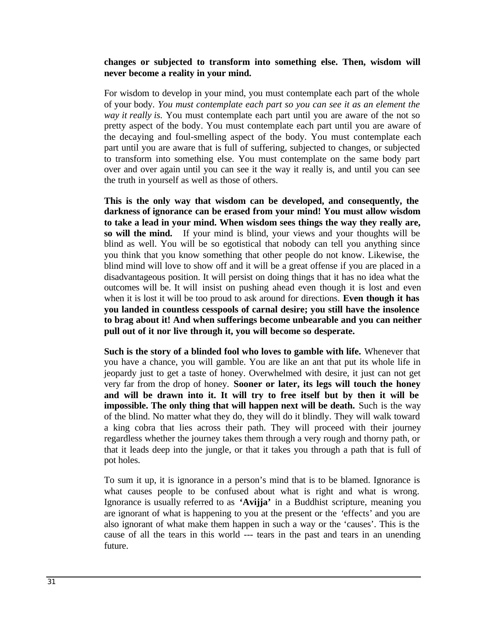#### **changes or subjected to transform into something else. Then, wisdom will never become a reality in your mind.**

For wisdom to develop in your mind, you must contemplate each part of the whole of your body. *You must contemplate each part so you can see it as an element the way it really is.* You must contemplate each part until you are aware of the not so pretty aspect of the body. You must contemplate each part until you are aware of the decaying and foul-smelling aspect of the body. You must contemplate each part until you are aware that is full of suffering, subjected to changes, or subjected to transform into something else. You must contemplate on the same body part over and over again until you can see it the way it really is, and until you can see the truth in yourself as well as those of others.

**This is the only way that wisdom can be developed, and consequently, the darkness of ignorance can be erased from your mind! You must allow wisdom to take a lead in your mind. When wisdom sees things the way they really are, so will the mind.** If your mind is blind, your views and your thoughts will be blind as well. You will be so egotistical that nobody can tell you anything since you think that you know something that other people do not know. Likewise, the blind mind will love to show off and it will be a great offense if you are placed in a disadvantageous position. It will persist on doing things that it has no idea what the outcomes will be. It will insist on pushing ahead even though it is lost and even when it is lost it will be too proud to ask around for directions. **Even though it has you landed in countless cesspools of carnal desire; you still have the insolence to brag about it! And when sufferings become unbearable and you can neither pull out of it nor live through it, you will become so desperate.**

**Such is the story of a blinded fool who loves to gamble with life.** Whenever that you have a chance, you will gamble. You are like an ant that put its whole life in jeopardy just to get a taste of honey. Overwhelmed with desire, it just can not get very far from the drop of honey. **Sooner or later, its legs will touch the honey and will be drawn into it. It will try to free itself but by then it will be impossible. The only thing that will happen next will be death.** Such is the way of the blind. No matter what they do, they will do it blindly. They will walk toward a king cobra that lies across their path. They will proceed with their journey regardless whether the journey takes them through a very rough and thorny path, or that it leads deep into the jungle, or that it takes you through a path that is full of pot holes.

To sum it up, it is ignorance in a person's mind that is to be blamed. Ignorance is what causes people to be confused about what is right and what is wrong. Ignorance is usually referred to as **'Avijja'** in a Buddhist scripture, meaning you are ignorant of what is happening to you at the present or the *'*effects' and you are also ignorant of what make them happen in such a way or the 'causes'. This is the cause of all the tears in this world --- tears in the past and tears in an unending future.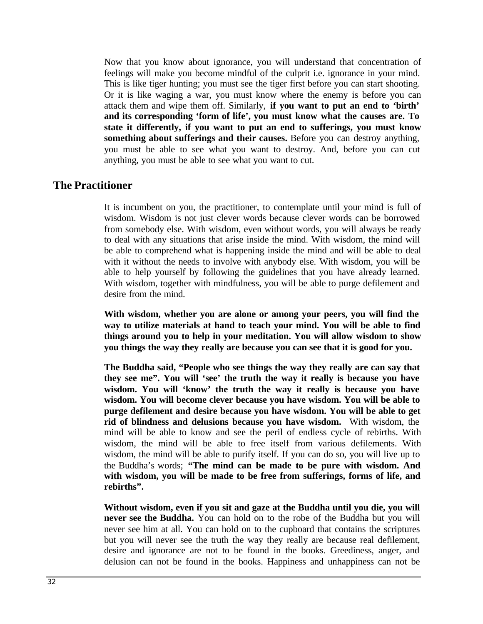Now that you know about ignorance, you will understand that concentration of feelings will make you become mindful of the culprit i.e. ignorance in your mind. This is like tiger hunting; you must see the tiger first before you can start shooting. Or it is like waging a war, you must know where the enemy is before you can attack them and wipe them off. Similarly, **if you want to put an end to 'birth' and its corresponding 'form of life', you must know what the causes are. To state it differently, if you want to put an end to sufferings, you must know something about sufferings and their causes.** Before you can destroy anything, you must be able to see what you want to destroy. And, before you can cut anything, you must be able to see what you want to cut.

#### **The Practitioner**

It is incumbent on you, the practitioner, to contemplate until your mind is full of wisdom. Wisdom is not just clever words because clever words can be borrowed from somebody else. With wisdom, even without words, you will always be ready to deal with any situations that arise inside the mind. With wisdom, the mind will be able to comprehend what is happening inside the mind and will be able to deal with it without the needs to involve with anybody else. With wisdom, you will be able to help yourself by following the guidelines that you have already learned. With wisdom, together with mindfulness, you will be able to purge defilement and desire from the mind.

**With wisdom, whether you are alone or among your peers, you will find the way to utilize materials at hand to teach your mind. You will be able to find things around you to help in your meditation. You will allow wisdom to show you things the way they really are because you can see that it is good for you.**

**The Buddha said, "People who see things the way they really are can say that they see me". You will 'see' the truth the way it really is because you have wisdom. You will 'know' the truth the way it really is because you have wisdom. You will become clever because you have wisdom. You will be able to purge defilement and desire because you have wisdom. You will be able to get rid of blindness and delusions because you have wisdom.** With wisdom, the mind will be able to know and see the peril of endless cycle of rebirths. With wisdom, the mind will be able to free itself from various defilements. With wisdom, the mind will be able to purify itself. If you can do so, you will live up to the Buddha's words; **"The mind can be made to be pure with wisdom. And with wisdom, you will be made to be free from sufferings, forms of life, and rebirths".**

**Without wisdom, even if you sit and gaze at the Buddha until you die, you will never see the Buddha.** You can hold on to the robe of the Buddha but you will never see him at all. You can hold on to the cupboard that contains the scriptures but you will never see the truth the way they really are because real defilement, desire and ignorance are not to be found in the books. Greediness, anger, and delusion can not be found in the books. Happiness and unhappiness can not be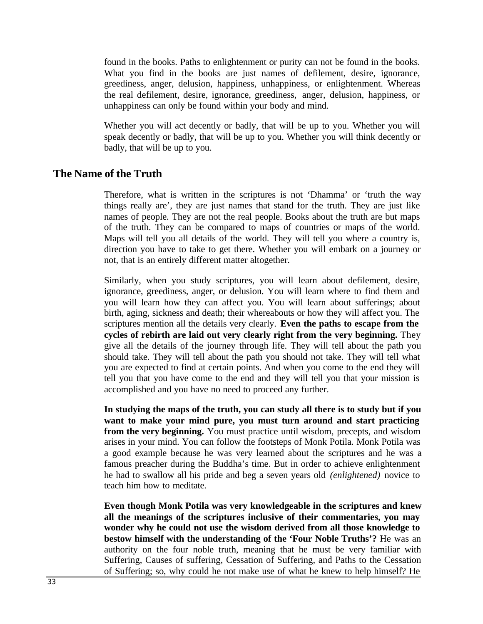found in the books. Paths to enlightenment or purity can not be found in the books. What you find in the books are just names of defilement, desire, ignorance, greediness, anger, delusion, happiness, unhappiness, or enlightenment. Whereas the real defilement, desire, ignorance, greediness, anger, delusion, happiness, or unhappiness can only be found within your body and mind.

Whether you will act decently or badly, that will be up to you. Whether you will speak decently or badly, that will be up to you. Whether you will think decently or badly, that will be up to you.

#### **The Name of the Truth**

Therefore, what is written in the scriptures is not 'Dhamma' or 'truth the way things really are', they are just names that stand for the truth. They are just like names of people. They are not the real people. Books about the truth are but maps of the truth. They can be compared to maps of countries or maps of the world. Maps will tell you all details of the world. They will tell you where a country is, direction you have to take to get there. Whether you will embark on a journey or not, that is an entirely different matter altogether.

Similarly, when you study scriptures, you will learn about defilement, desire, ignorance, greediness, anger, or delusion. You will learn where to find them and you will learn how they can affect you. You will learn about sufferings; about birth, aging, sickness and death; their whereabouts or how they will affect you. The scriptures mention all the details very clearly. **Even the paths to escape from the cycles of rebirth are laid out very clearly right from the very beginning.** They give all the details of the journey through life. They will tell about the path you should take. They will tell about the path you should not take. They will tell what you are expected to find at certain points. And when you come to the end they will tell you that you have come to the end and they will tell you that your mission is accomplished and you have no need to proceed any further.

**In studying the maps of the truth, you can study all there is to study but if you want to make your mind pure, you must turn around and start practicing from the very beginning.** You must practice until wisdom, precepts, and wisdom arises in your mind. You can follow the footsteps of Monk Potila. Monk Potila was a good example because he was very learned about the scriptures and he was a famous preacher during the Buddha's time. But in order to achieve enlightenment he had to swallow all his pride and beg a seven years old *(enlightened)* novice to teach him how to meditate.

**Even though Monk Potila was very knowledgeable in the scriptures and knew all the meanings of the scriptures inclusive of their commentaries, you may wonder why he could not use the wisdom derived from all those knowledge to bestow himself with the understanding of the 'Four Noble Truths'?** He was an authority on the four noble truth, meaning that he must be very familiar with Suffering, Causes of suffering, Cessation of Suffering, and Paths to the Cessation of Suffering; so, why could he not make use of what he knew to help himself? He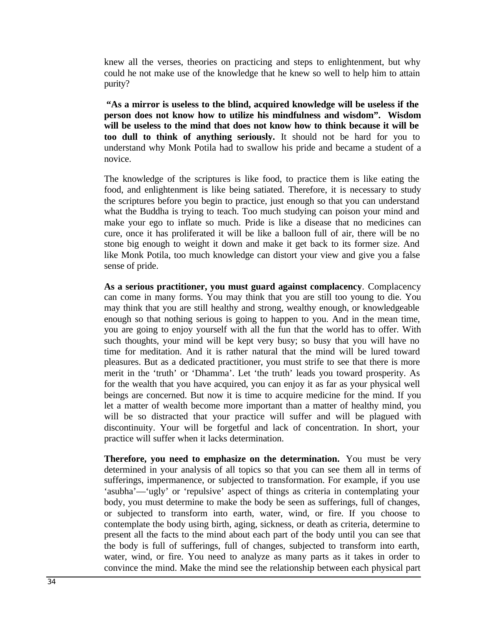knew all the verses, theories on practicing and steps to enlightenment, but why could he not make use of the knowledge that he knew so well to help him to attain purity?

**"As a mirror is useless to the blind, acquired knowledge will be useless if the person does not know how to utilize his mindfulness and wisdom". Wisdom will be useless to the mind that does not know how to think because it will be too dull to think of anything seriously.** It should not be hard for you to understand why Monk Potila had to swallow his pride and became a student of a novice.

The knowledge of the scriptures is like food, to practice them is like eating the food, and enlightenment is like being satiated. Therefore, it is necessary to study the scriptures before you begin to practice, just enough so that you can understand what the Buddha is trying to teach. Too much studying can poison your mind and make your ego to inflate so much. Pride is like a disease that no medicines can cure, once it has proliferated it will be like a balloon full of air, there will be no stone big enough to weight it down and make it get back to its former size. And like Monk Potila, too much knowledge can distort your view and give you a false sense of pride.

**As a serious practitioner, you must guard against complacency**. Complacency can come in many forms. You may think that you are still too young to die. You may think that you are still healthy and strong, wealthy enough, or knowledgeable enough so that nothing serious is going to happen to you. And in the mean time, you are going to enjoy yourself with all the fun that the world has to offer. With such thoughts, your mind will be kept very busy; so busy that you will have no time for meditation. And it is rather natural that the mind will be lured toward pleasures. But as a dedicated practitioner, you must strife to see that there is more merit in the 'truth' or 'Dhamma'. Let 'the truth' leads you toward prosperity. As for the wealth that you have acquired, you can enjoy it as far as your physical well beings are concerned. But now it is time to acquire medicine for the mind. If you let a matter of wealth become more important than a matter of healthy mind, you will be so distracted that your practice will suffer and will be plagued with discontinuity. Your will be forgetful and lack of concentration. In short, your practice will suffer when it lacks determination.

**Therefore, you need to emphasize on the determination.** You must be very determined in your analysis of all topics so that you can see them all in terms of sufferings, impermanence, or subjected to transformation. For example, if you use 'asubha'—'ugly' or 'repulsive' aspect of things as criteria in contemplating your body, you must determine to make the body be seen as sufferings, full of changes, or subjected to transform into earth, water, wind, or fire. If you choose to contemplate the body using birth, aging, sickness, or death as criteria, determine to present all the facts to the mind about each part of the body until you can see that the body is full of sufferings, full of changes, subjected to transform into earth, water, wind, or fire. You need to analyze as many parts as it takes in order to convince the mind. Make the mind see the relationship between each physical part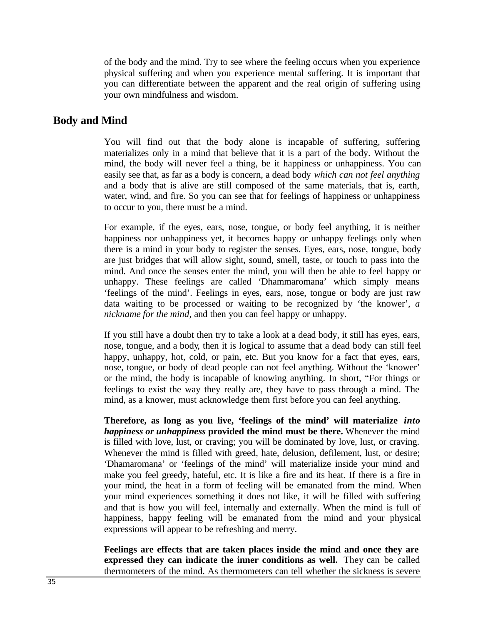of the body and the mind. Try to see where the feeling occurs when you experience physical suffering and when you experience mental suffering. It is important that you can differentiate between the apparent and the real origin of suffering using your own mindfulness and wisdom.

#### **Body and Mind**

You will find out that the body alone is incapable of suffering, suffering materializes only in a mind that believe that it is a part of the body. Without the mind, the body will never feel a thing, be it happiness or unhappiness. You can easily see that, as far as a body is concern, a dead body *which can not feel anything* and a body that is alive are still composed of the same materials, that is, earth, water, wind, and fire. So you can see that for feelings of happiness or unhappiness to occur to you, there must be a mind.

For example, if the eyes, ears, nose, tongue, or body feel anything, it is neither happiness nor unhappiness yet, it becomes happy or unhappy feelings only when there is a mind in your body to register the senses. Eyes, ears, nose, tongue, body are just bridges that will allow sight, sound, smell, taste, or touch to pass into the mind. And once the senses enter the mind, you will then be able to feel happy or unhappy. These feelings are called 'Dhammaromana' which simply means 'feelings of the mind'. Feelings in eyes, ears, nose, tongue or body are just raw data waiting to be processed or waiting to be recognized by 'the knower', *a nickname for the mind*, and then you can feel happy or unhappy.

If you still have a doubt then try to take a look at a dead body, it still has eyes, ears, nose, tongue, and a body, then it is logical to assume that a dead body can still feel happy, unhappy, hot, cold, or pain, etc. But you know for a fact that eyes, ears, nose, tongue, or body of dead people can not feel anything. Without the 'knower' or the mind, the body is incapable of knowing anything. In short, "For things or feelings to exist the way they really are, they have to pass through a mind. The mind, as a knower, must acknowledge them first before you can feel anything.

**Therefore, as long as you live, 'feelings of the mind' will materialize** *into happiness or unhappiness* **provided the mind must be there.** Whenever the mind is filled with love, lust, or craving; you will be dominated by love, lust, or craving. Whenever the mind is filled with greed, hate, delusion, defilement, lust, or desire; 'Dhamaromana' or 'feelings of the mind' will materialize inside your mind and make you feel greedy, hateful, etc. It is like a fire and its heat. If there is a fire in your mind, the heat in a form of feeling will be emanated from the mind. When your mind experiences something it does not like, it will be filled with suffering and that is how you will feel, internally and externally. When the mind is full of happiness, happy feeling will be emanated from the mind and your physical expressions will appear to be refreshing and merry.

**Feelings are effects that are taken places inside the mind and once they are expressed they can indicate the inner conditions as well.** They can be called thermometers of the mind. As thermometers can tell whether the sickness is severe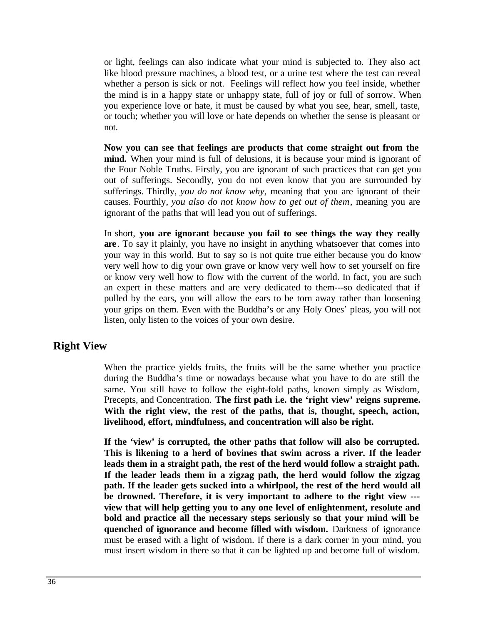or light, feelings can also indicate what your mind is subjected to. They also act like blood pressure machines, a blood test, or a urine test where the test can reveal whether a person is sick or not. Feelings will reflect how you feel inside, whether the mind is in a happy state or unhappy state, full of joy or full of sorrow. When you experience love or hate, it must be caused by what you see, hear, smell, taste, or touch; whether you will love or hate depends on whether the sense is pleasant or not.

**Now you can see that feelings are products that come straight out from the** mind. When your mind is full of delusions, it is because your mind is ignorant of the Four Noble Truths. Firstly, you are ignorant of such practices that can get you out of sufferings. Secondly, you do not even know that you are surrounded by sufferings. Thirdly, *you do not know why*, meaning that you are ignorant of their causes. Fourthly, *you also do not know how to get out of them*, meaning you are ignorant of the paths that will lead you out of sufferings.

In short, **you are ignorant because you fail to see things the way they really are**. To say it plainly, you have no insight in anything whatsoever that comes into your way in this world. But to say so is not quite true either because you do know very well how to dig your own grave or know very well how to set yourself on fire or know very well how to flow with the current of the world. In fact, you are such an expert in these matters and are very dedicated to them---so dedicated that if pulled by the ears, you will allow the ears to be torn away rather than loosening your grips on them. Even with the Buddha's or any Holy Ones' pleas, you will not listen, only listen to the voices of your own desire.

## **Right View**

When the practice yields fruits, the fruits will be the same whether you practice during the Buddha's time or nowadays because what you have to do are still the same. You still have to follow the eight-fold paths, known simply as Wisdom, Precepts, and Concentration. **The first path i.e. the 'right view' reigns supreme. With the right view, the rest of the paths, that is, thought, speech, action, livelihood, effort, mindfulness, and concentration will also be right.**

**If the 'view' is corrupted, the other paths that follow will also be corrupted. This is likening to a herd of bovines that swim across a river. If the leader leads them in a straight path, the rest of the herd would follow a straight path. If the leader leads them in a zigzag path, the herd would follow the zigzag path. If the leader gets sucked into a whirlpool, the rest of the herd would all be drowned. Therefore, it is very important to adhere to the right view -- view that will help getting you to any one level of enlightenment, resolute and bold and practice all the necessary steps seriously so that your mind will be quenched of ignorance and become filled with wisdom.** Darkness of ignorance must be erased with a light of wisdom. If there is a dark corner in your mind, you must insert wisdom in there so that it can be lighted up and become full of wisdom.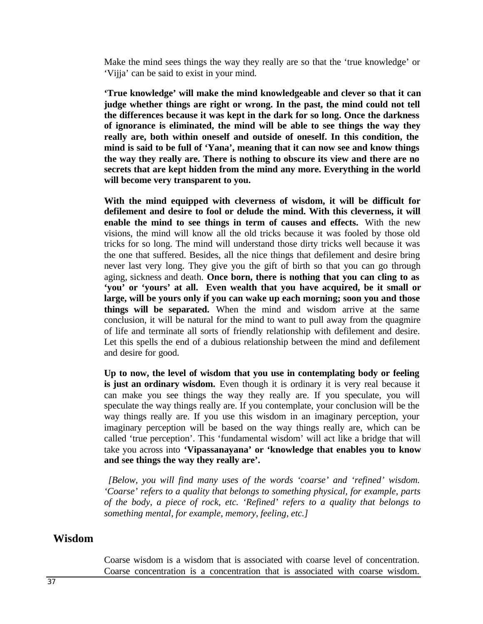Make the mind sees things the way they really are so that the 'true knowledge' or 'Vijja' can be said to exist in your mind.

**'True knowledge' will make the mind knowledgeable and clever so that it can judge whether things are right or wrong. In the past, the mind could not tell the differences because it was kept in the dark for so long. Once the darkness of ignorance is eliminated, the mind will be able to see things the way they really are, both within oneself and outside of oneself. In this condition, the mind is said to be full of 'Yana', meaning that it can now see and know things the way they really are. There is nothing to obscure its view and there are no secrets that are kept hidden from the mind any more. Everything in the world will become very transparent to you.**

**With the mind equipped with cleverness of wisdom, it will be difficult for defilement and desire to fool or delude the mind. With this cleverness, it will enable the mind to see things in term of causes and effects.** With the new visions, the mind will know all the old tricks because it was fooled by those old tricks for so long. The mind will understand those dirty tricks well because it was the one that suffered. Besides, all the nice things that defilement and desire bring never last very long. They give you the gift of birth so that you can go through aging, sickness and death. **Once born, there is nothing that you can cling to as 'you' or 'yours' at all. Even wealth that you have acquired, be it small or large, will be yours only if you can wake up each morning; soon you and those things will be separated.** When the mind and wisdom arrive at the same conclusion, it will be natural for the mind to want to pull away from the quagmire of life and terminate all sorts of friendly relationship with defilement and desire. Let this spells the end of a dubious relationship between the mind and defilement and desire for good.

**Up to now, the level of wisdom that you use in contemplating body or feeling is just an ordinary wisdom.** Even though it is ordinary it is very real because it can make you see things the way they really are. If you speculate, you will speculate the way things really are. If you contemplate, your conclusion will be the way things really are. If you use this wisdom in an imaginary perception, your imaginary perception will be based on the way things really are, which can be called 'true perception'. This 'fundamental wisdom' will act like a bridge that will take you across into **'Vipassanayana' or 'knowledge that enables you to know and see things the way they really are'.**

 *[Below, you will find many uses of the words 'coarse' and 'refined' wisdom. 'Coarse' refers to a quality that belongs to something physical, for example, parts of the body, a piece of rock, etc. 'Refined' refers to a quality that belongs to something mental, for example, memory, feeling, etc.]*

#### **Wisdom**

Coarse wisdom is a wisdom that is associated with coarse level of concentration. Coarse concentration is a concentration that is associated with coarse wisdom.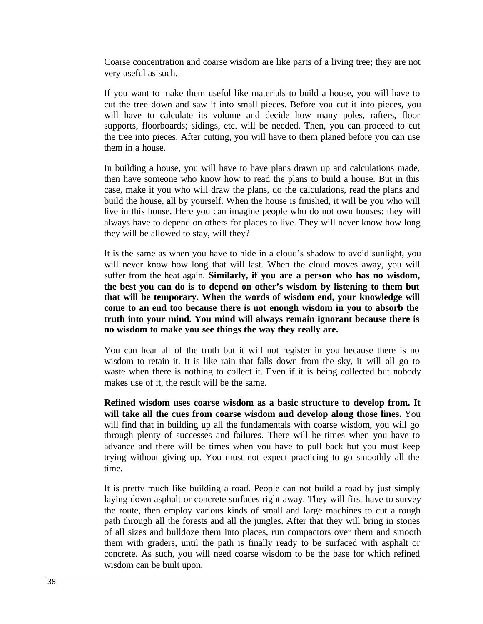Coarse concentration and coarse wisdom are like parts of a living tree; they are not very useful as such.

If you want to make them useful like materials to build a house, you will have to cut the tree down and saw it into small pieces. Before you cut it into pieces, you will have to calculate its volume and decide how many poles, rafters, floor supports, floorboards; sidings, etc. will be needed. Then, you can proceed to cut the tree into pieces. After cutting, you will have to them planed before you can use them in a house.

In building a house, you will have to have plans drawn up and calculations made, then have someone who know how to read the plans to build a house. But in this case, make it you who will draw the plans, do the calculations, read the plans and build the house, all by yourself. When the house is finished, it will be you who will live in this house. Here you can imagine people who do not own houses; they will always have to depend on others for places to live. They will never know how long they will be allowed to stay, will they?

It is the same as when you have to hide in a cloud's shadow to avoid sunlight, you will never know how long that will last. When the cloud moves away, you will suffer from the heat again. **Similarly, if you are a person who has no wisdom, the best you can do is to depend on other's wisdom by listening to them but that will be temporary. When the words of wisdom end, your knowledge will come to an end too because there is not enough wisdom in you to absorb the truth into your mind. You mind will always remain ignorant because there is no wisdom to make you see things the way they really are.**

You can hear all of the truth but it will not register in you because there is no wisdom to retain it. It is like rain that falls down from the sky, it will all go to waste when there is nothing to collect it. Even if it is being collected but nobody makes use of it, the result will be the same.

**Refined wisdom uses coarse wisdom as a basic structure to develop from. It will take all the cues from coarse wisdom and develop along those lines.** You will find that in building up all the fundamentals with coarse wisdom, you will go through plenty of successes and failures. There will be times when you have to advance and there will be times when you have to pull back but you must keep trying without giving up. You must not expect practicing to go smoothly all the time.

It is pretty much like building a road. People can not build a road by just simply laying down asphalt or concrete surfaces right away. They will first have to survey the route, then employ various kinds of small and large machines to cut a rough path through all the forests and all the jungles. After that they will bring in stones of all sizes and bulldoze them into places, run compactors over them and smooth them with graders, until the path is finally ready to be surfaced with asphalt or concrete. As such, you will need coarse wisdom to be the base for which refined wisdom can be built upon.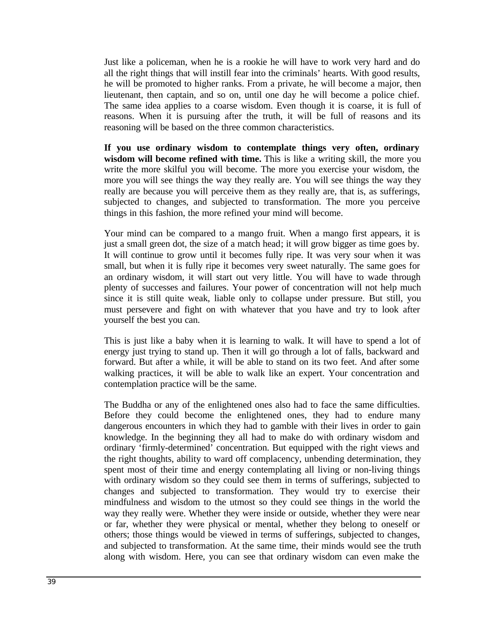Just like a policeman, when he is a rookie he will have to work very hard and do all the right things that will instill fear into the criminals' hearts. With good results, he will be promoted to higher ranks. From a private, he will become a major, then lieutenant, then captain, and so on, until one day he will become a police chief. The same idea applies to a coarse wisdom. Even though it is coarse, it is full of reasons. When it is pursuing after the truth, it will be full of reasons and its reasoning will be based on the three common characteristics.

**If you use ordinary wisdom to contemplate things very often, ordinary wisdom will become refined with time.** This is like a writing skill, the more you write the more skilful you will become. The more you exercise your wisdom, the more you will see things the way they really are. You will see things the way they really are because you will perceive them as they really are, that is, as sufferings, subjected to changes, and subjected to transformation. The more you perceive things in this fashion, the more refined your mind will become.

Your mind can be compared to a mango fruit. When a mango first appears, it is just a small green dot, the size of a match head; it will grow bigger as time goes by. It will continue to grow until it becomes fully ripe. It was very sour when it was small, but when it is fully ripe it becomes very sweet naturally. The same goes for an ordinary wisdom, it will start out very little. You will have to wade through plenty of successes and failures. Your power of concentration will not help much since it is still quite weak, liable only to collapse under pressure. But still, you must persevere and fight on with whatever that you have and try to look after yourself the best you can.

This is just like a baby when it is learning to walk. It will have to spend a lot of energy just trying to stand up. Then it will go through a lot of falls, backward and forward. But after a while, it will be able to stand on its two feet. And after some walking practices, it will be able to walk like an expert. Your concentration and contemplation practice will be the same.

The Buddha or any of the enlightened ones also had to face the same difficulties. Before they could become the enlightened ones, they had to endure many dangerous encounters in which they had to gamble with their lives in order to gain knowledge. In the beginning they all had to make do with ordinary wisdom and ordinary 'firmly-determined' concentration. But equipped with the right views and the right thoughts, ability to ward off complacency, unbending determination, they spent most of their time and energy contemplating all living or non-living things with ordinary wisdom so they could see them in terms of sufferings, subjected to changes and subjected to transformation. They would try to exercise their mindfulness and wisdom to the utmost so they could see things in the world the way they really were. Whether they were inside or outside, whether they were near or far, whether they were physical or mental, whether they belong to oneself or others; those things would be viewed in terms of sufferings, subjected to changes, and subjected to transformation. At the same time, their minds would see the truth along with wisdom. Here, you can see that ordinary wisdom can even make the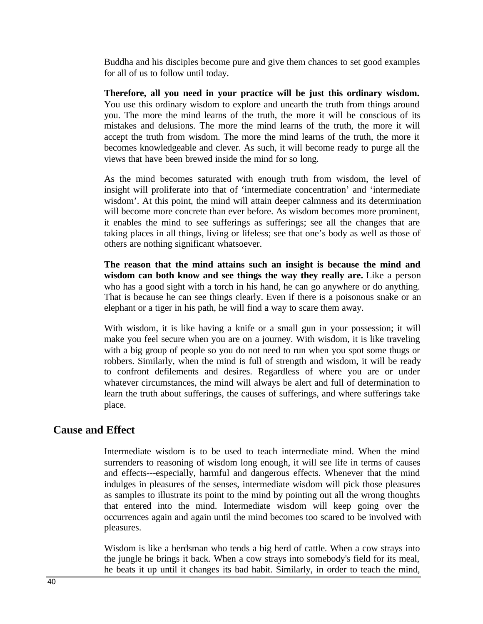Buddha and his disciples become pure and give them chances to set good examples for all of us to follow until today.

**Therefore, all you need in your practice will be just this ordinary wisdom.** You use this ordinary wisdom to explore and unearth the truth from things around you. The more the mind learns of the truth, the more it will be conscious of its mistakes and delusions. The more the mind learns of the truth, the more it will accept the truth from wisdom. The more the mind learns of the truth, the more it becomes knowledgeable and clever. As such, it will become ready to purge all the views that have been brewed inside the mind for so long.

As the mind becomes saturated with enough truth from wisdom, the level of insight will proliferate into that of 'intermediate concentration' and 'intermediate wisdom'. At this point, the mind will attain deeper calmness and its determination will become more concrete than ever before. As wisdom becomes more prominent, it enables the mind to see sufferings as sufferings; see all the changes that are taking places in all things, living or lifeless; see that one's body as well as those of others are nothing significant whatsoever.

**The reason that the mind attains such an insight is because the mind and wisdom can both know and see things the way they really are.** Like a person who has a good sight with a torch in his hand, he can go anywhere or do anything. That is because he can see things clearly. Even if there is a poisonous snake or an elephant or a tiger in his path, he will find a way to scare them away.

With wisdom, it is like having a knife or a small gun in your possession; it will make you feel secure when you are on a journey. With wisdom, it is like traveling with a big group of people so you do not need to run when you spot some thugs or robbers. Similarly, when the mind is full of strength and wisdom, it will be ready to confront defilements and desires. Regardless of where you are or under whatever circumstances, the mind will always be alert and full of determination to learn the truth about sufferings, the causes of sufferings, and where sufferings take place.

## **Cause and Effect**

Intermediate wisdom is to be used to teach intermediate mind. When the mind surrenders to reasoning of wisdom long enough, it will see life in terms of causes and effects---especially, harmful and dangerous effects. Whenever that the mind indulges in pleasures of the senses, intermediate wisdom will pick those pleasures as samples to illustrate its point to the mind by pointing out all the wrong thoughts that entered into the mind. Intermediate wisdom will keep going over the occurrences again and again until the mind becomes too scared to be involved with pleasures.

Wisdom is like a herdsman who tends a big herd of cattle. When a cow strays into the jungle he brings it back. When a cow strays into somebody's field for its meal, he beats it up until it changes its bad habit. Similarly, in order to teach the mind,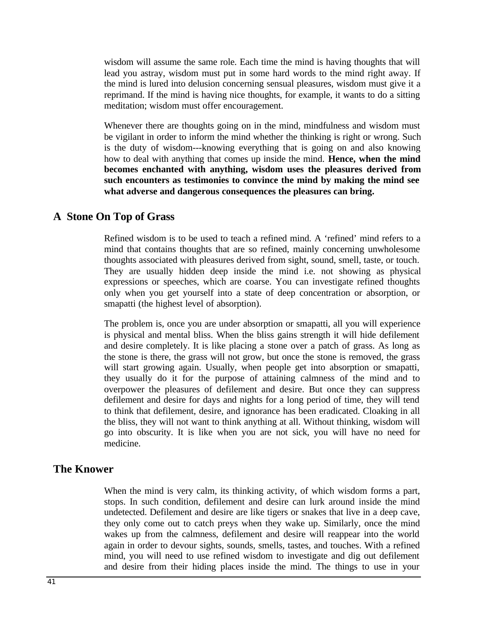wisdom will assume the same role. Each time the mind is having thoughts that will lead you astray, wisdom must put in some hard words to the mind right away. If the mind is lured into delusion concerning sensual pleasures, wisdom must give it a reprimand. If the mind is having nice thoughts, for example, it wants to do a sitting meditation; wisdom must offer encouragement.

Whenever there are thoughts going on in the mind, mindfulness and wisdom must be vigilant in order to inform the mind whether the thinking is right or wrong. Such is the duty of wisdom---knowing everything that is going on and also knowing how to deal with anything that comes up inside the mind. **Hence, when the mind becomes enchanted with anything, wisdom uses the pleasures derived from such encounters as testimonies to convince the mind by making the mind see what adverse and dangerous consequences the pleasures can bring.**

#### **A Stone On Top of Grass**

Refined wisdom is to be used to teach a refined mind. A 'refined' mind refers to a mind that contains thoughts that are so refined, mainly concerning unwholesome thoughts associated with pleasures derived from sight, sound, smell, taste, or touch. They are usually hidden deep inside the mind i.e. not showing as physical expressions or speeches, which are coarse. You can investigate refined thoughts only when you get yourself into a state of deep concentration or absorption, or smapatti (the highest level of absorption).

The problem is, once you are under absorption or smapatti, all you will experience is physical and mental bliss. When the bliss gains strength it will hide defilement and desire completely. It is like placing a stone over a patch of grass. As long as the stone is there, the grass will not grow, but once the stone is removed, the grass will start growing again. Usually, when people get into absorption or smapatti, they usually do it for the purpose of attaining calmness of the mind and to overpower the pleasures of defilement and desire. But once they can suppress defilement and desire for days and nights for a long period of time, they will tend to think that defilement, desire, and ignorance has been eradicated. Cloaking in all the bliss, they will not want to think anything at all. Without thinking, wisdom will go into obscurity. It is like when you are not sick, you will have no need for medicine.

#### **The Knower**

When the mind is very calm, its thinking activity, of which wisdom forms a part, stops. In such condition, defilement and desire can lurk around inside the mind undetected. Defilement and desire are like tigers or snakes that live in a deep cave, they only come out to catch preys when they wake up. Similarly, once the mind wakes up from the calmness, defilement and desire will reappear into the world again in order to devour sights, sounds, smells, tastes, and touches. With a refined mind, you will need to use refined wisdom to investigate and dig out defilement and desire from their hiding places inside the mind. The things to use in your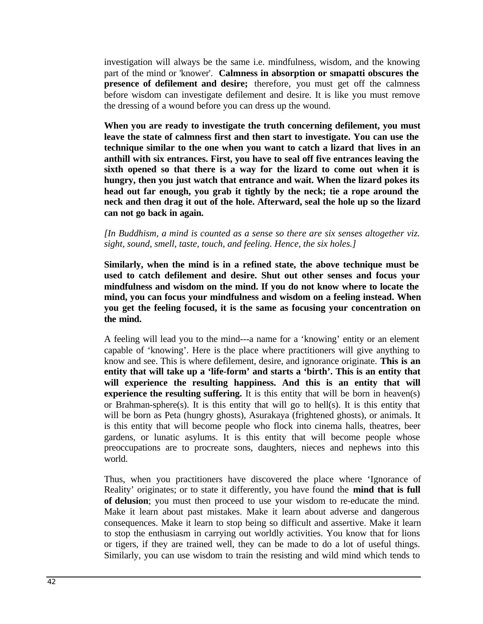investigation will always be the same i.e. mindfulness, wisdom, and the knowing part of the mind or 'knower'. **Calmness in absorption or smapatti obscures the presence of defilement and desire;** therefore, you must get off the calmness before wisdom can investigate defilement and desire. It is like you must remove the dressing of a wound before you can dress up the wound.

**When you are ready to investigate the truth concerning defilement, you must leave the state of calmness first and then start to investigate. You can use the technique similar to the one when you want to catch a lizard that lives in an anthill with six entrances. First, you have to seal off five entrances leaving the sixth opened so that there is a way for the lizard to come out when it is hungry, then you just watch that entrance and wait. When the lizard pokes its head out far enough, you grab it tightly by the neck; tie a rope around the neck and then drag it out of the hole. Afterward, seal the hole up so the lizard can not go back in again.**

#### *[In Buddhism, a mind is counted as a sense so there are six senses altogether viz. sight, sound, smell, taste, touch, and feeling. Hence, the six holes.]*

**Similarly, when the mind is in a refined state, the above technique must be used to catch defilement and desire. Shut out other senses and focus your mindfulness and wisdom on the mind. If you do not know where to locate the mind, you can focus your mindfulness and wisdom on a feeling instead. When you get the feeling focused, it is the same as focusing your concentration on the mind.**

A feeling will lead you to the mind---a name for a 'knowing' entity or an element capable of 'knowing'. Here is the place where practitioners will give anything to know and see. This is where defilement, desire, and ignorance originate. **This is an entity that will take up a 'life-form' and starts a 'birth'. This is an entity that will experience the resulting happiness. And this is an entity that will experience the resulting suffering.** It is this entity that will be born in heaven(s) or Brahman-sphere(s). It is this entity that will go to hell(s). It is this entity that will be born as Peta (hungry ghosts), Asurakaya (frightened ghosts), or animals. It is this entity that will become people who flock into cinema halls, theatres, beer gardens, or lunatic asylums. It is this entity that will become people whose preoccupations are to procreate sons, daughters, nieces and nephews into this world.

Thus, when you practitioners have discovered the place where 'Ignorance of Reality' originates; or to state it differently, you have found the **mind that is full of delusion**; you must then proceed to use your wisdom to re-educate the mind. Make it learn about past mistakes. Make it learn about adverse and dangerous consequences. Make it learn to stop being so difficult and assertive. Make it learn to stop the enthusiasm in carrying out worldly activities. You know that for lions or tigers, if they are trained well, they can be made to do a lot of useful things. Similarly, you can use wisdom to train the resisting and wild mind which tends to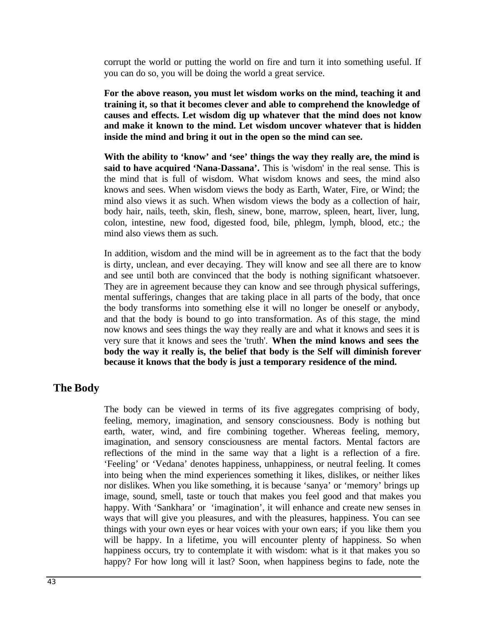corrupt the world or putting the world on fire and turn it into something useful. If you can do so, you will be doing the world a great service.

**For the above reason, you must let wisdom works on the mind, teaching it and training it, so that it becomes clever and able to comprehend the knowledge of causes and effects. Let wisdom dig up whatever that the mind does not know and make it known to the mind. Let wisdom uncover whatever that is hidden inside the mind and bring it out in the open so the mind can see.**

**With the ability to 'know' and 'see' things the way they really are, the mind is said to have acquired 'Nana-Dassana'.** This is 'wisdom' in the real sense. This is the mind that is full of wisdom. What wisdom knows and sees, the mind also knows and sees. When wisdom views the body as Earth, Water, Fire, or Wind; the mind also views it as such. When wisdom views the body as a collection of hair, body hair, nails, teeth, skin, flesh, sinew, bone, marrow, spleen, heart, liver, lung, colon, intestine, new food, digested food, bile, phlegm, lymph, blood, etc.; the mind also views them as such.

In addition, wisdom and the mind will be in agreement as to the fact that the body is dirty, unclean, and ever decaying. They will know and see all there are to know and see until both are convinced that the body is nothing significant whatsoever. They are in agreement because they can know and see through physical sufferings, mental sufferings, changes that are taking place in all parts of the body, that once the body transforms into something else it will no longer be oneself or anybody, and that the body is bound to go into transformation. As of this stage, the mind now knows and sees things the way they really are and what it knows and sees it is very sure that it knows and sees the 'truth'. **When the mind knows and sees the body the way it really is, the belief that body is the Self will diminish forever because it knows that the body is just a temporary residence of the mind.**

## **The Body**

The body can be viewed in terms of its five aggregates comprising of body, feeling, memory, imagination, and sensory consciousness. Body is nothing but earth, water, wind, and fire combining together. Whereas feeling, memory, imagination, and sensory consciousness are mental factors. Mental factors are reflections of the mind in the same way that a light is a reflection of a fire. 'Feeling' or 'Vedana' denotes happiness, unhappiness, or neutral feeling. It comes into being when the mind experiences something it likes, dislikes, or neither likes nor dislikes. When you like something, it is because 'sanya' or 'memory' brings up image, sound, smell, taste or touch that makes you feel good and that makes you happy. With 'Sankhara' or 'imagination', it will enhance and create new senses in ways that will give you pleasures, and with the pleasures, happiness. You can see things with your own eyes or hear voices with your own ears; if you like them you will be happy. In a lifetime, you will encounter plenty of happiness. So when happiness occurs, try to contemplate it with wisdom: what is it that makes you so happy? For how long will it last? Soon, when happiness begins to fade, note the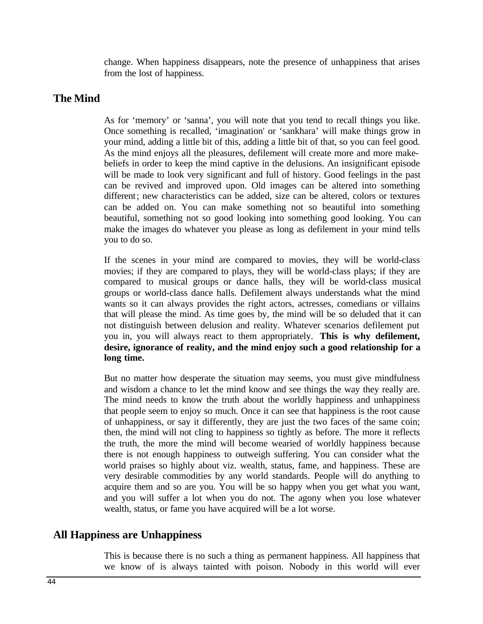change. When happiness disappears, note the presence of unhappiness that arises from the lost of happiness.

## **The Mind**

As for 'memory' or 'sanna', you will note that you tend to recall things you like. Once something is recalled, 'imagination' or 'sankhara' will make things grow in your mind, adding a little bit of this, adding a little bit of that, so you can feel good. As the mind enjoys all the pleasures, defilement will create more and more makebeliefs in order to keep the mind captive in the delusions. An insignificant episode will be made to look very significant and full of history. Good feelings in the past can be revived and improved upon. Old images can be altered into something different; new characteristics can be added, size can be altered, colors or textures can be added on. You can make something not so beautiful into something beautiful, something not so good looking into something good looking. You can make the images do whatever you please as long as defilement in your mind tells you to do so.

If the scenes in your mind are compared to movies, they will be world-class movies; if they are compared to plays, they will be world-class plays; if they are compared to musical groups or dance halls, they will be world-class musical groups or world-class dance halls. Defilement always understands what the mind wants so it can always provides the right actors, actresses, comedians or villains that will please the mind. As time goes by, the mind will be so deluded that it can not distinguish between delusion and reality. Whatever scenarios defilement put you in, you will always react to them appropriately. **This is why defilement, desire, ignorance of reality, and the mind enjoy such a good relationship for a long time.**

But no matter how desperate the situation may seems, you must give mindfulness and wisdom a chance to let the mind know and see things the way they really are. The mind needs to know the truth about the worldly happiness and unhappiness that people seem to enjoy so much. Once it can see that happiness is the root cause of unhappiness, or say it differently, they are just the two faces of the same coin; then, the mind will not cling to happiness so tightly as before. The more it reflects the truth, the more the mind will become wearied of worldly happiness because there is not enough happiness to outweigh suffering. You can consider what the world praises so highly about viz. wealth, status, fame, and happiness. These are very desirable commodities by any world standards. People will do anything to acquire them and so are you. You will be so happy when you get what you want, and you will suffer a lot when you do not. The agony when you lose whatever wealth, status, or fame you have acquired will be a lot worse.

## **All Happiness are Unhappiness**

This is because there is no such a thing as permanent happiness. All happiness that we know of is always tainted with poison. Nobody in this world will ever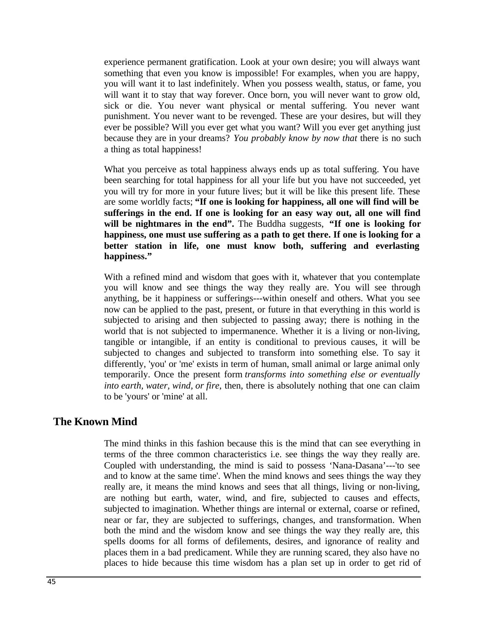experience permanent gratification. Look at your own desire; you will always want something that even you know is impossible! For examples, when you are happy, you will want it to last indefinitely. When you possess wealth, status, or fame, you will want it to stay that way forever. Once born, you will never want to grow old, sick or die. You never want physical or mental suffering. You never want punishment. You never want to be revenged. These are your desires, but will they ever be possible? Will you ever get what you want? Will you ever get anything just because they are in your dreams? *You probably know by now that* there is no such a thing as total happiness!

What you perceive as total happiness always ends up as total suffering. You have been searching for total happiness for all your life but you have not succeeded, yet you will try for more in your future lives; but it will be like this present life. These are some worldly facts; **"If one is looking for happiness, all one will find will be sufferings in the end. If one is looking for an easy way out, all one will find will be nightmares in the end".** The Buddha suggests, **"If one is looking for happiness, one must use suffering as a path to get there. If one is looking for a better station in life, one must know both, suffering and everlasting happiness."**

With a refined mind and wisdom that goes with it, whatever that you contemplate you will know and see things the way they really are. You will see through anything, be it happiness or sufferings---within oneself and others. What you see now can be applied to the past, present, or future in that everything in this world is subjected to arising and then subjected to passing away; there is nothing in the world that is not subjected to impermanence. Whether it is a living or non-living, tangible or intangible, if an entity is conditional to previous causes, it will be subjected to changes and subjected to transform into something else. To say it differently, 'you' or 'me' exists in term of human, small animal or large animal only temporarily. Once the present form *transforms into something else or eventually into earth, water, wind, or fire*, then, there is absolutely nothing that one can claim to be 'yours' or 'mine' at all.

## **The Known Mind**

The mind thinks in this fashion because this is the mind that can see everything in terms of the three common characteristics i.e. see things the way they really are. Coupled with understanding, the mind is said to possess 'Nana-Dasana'---'to see and to know at the same time'. When the mind knows and sees things the way they really are, it means the mind knows and sees that all things, living or non-living, are nothing but earth, water, wind, and fire, subjected to causes and effects, subjected to imagination. Whether things are internal or external, coarse or refined, near or far, they are subjected to sufferings, changes, and transformation. When both the mind and the wisdom know and see things the way they really are, this spells dooms for all forms of defilements, desires, and ignorance of reality and places them in a bad predicament. While they are running scared, they also have no places to hide because this time wisdom has a plan set up in order to get rid of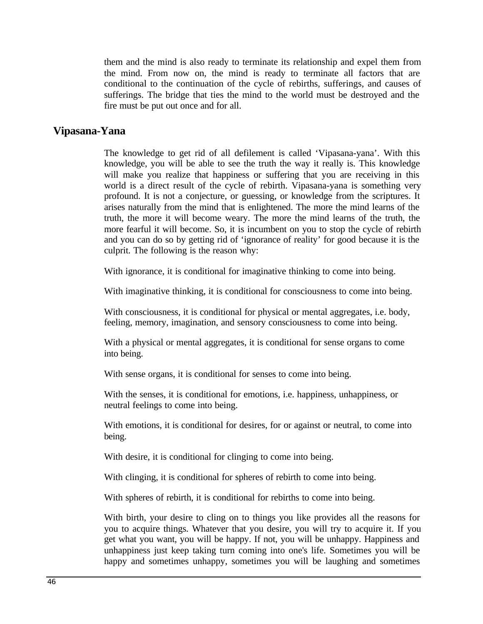them and the mind is also ready to terminate its relationship and expel them from the mind. From now on, the mind is ready to terminate all factors that are conditional to the continuation of the cycle of rebirths, sufferings, and causes of sufferings. The bridge that ties the mind to the world must be destroyed and the fire must be put out once and for all.

## **Vipasana-Yana**

The knowledge to get rid of all defilement is called 'Vipasana-yana'. With this knowledge, you will be able to see the truth the way it really is. This knowledge will make you realize that happiness or suffering that you are receiving in this world is a direct result of the cycle of rebirth. Vipasana-yana is something very profound. It is not a conjecture, or guessing, or knowledge from the scriptures. It arises naturally from the mind that is enlightened. The more the mind learns of the truth, the more it will become weary. The more the mind learns of the truth, the more fearful it will become. So, it is incumbent on you to stop the cycle of rebirth and you can do so by getting rid of 'ignorance of reality' for good because it is the culprit. The following is the reason why:

With ignorance, it is conditional for imaginative thinking to come into being.

With imaginative thinking, it is conditional for consciousness to come into being.

With consciousness, it is conditional for physical or mental aggregates, i.e. body, feeling, memory, imagination, and sensory consciousness to come into being.

With a physical or mental aggregates, it is conditional for sense organs to come into being.

With sense organs, it is conditional for senses to come into being.

With the senses, it is conditional for emotions, i.e. happiness, unhappiness, or neutral feelings to come into being.

With emotions, it is conditional for desires, for or against or neutral, to come into being.

With desire, it is conditional for clinging to come into being.

With clinging, it is conditional for spheres of rebirth to come into being.

With spheres of rebirth, it is conditional for rebirths to come into being.

With birth, your desire to cling on to things you like provides all the reasons for you to acquire things. Whatever that you desire, you will try to acquire it. If you get what you want, you will be happy. If not, you will be unhappy. Happiness and unhappiness just keep taking turn coming into one's life. Sometimes you will be happy and sometimes unhappy, sometimes you will be laughing and sometimes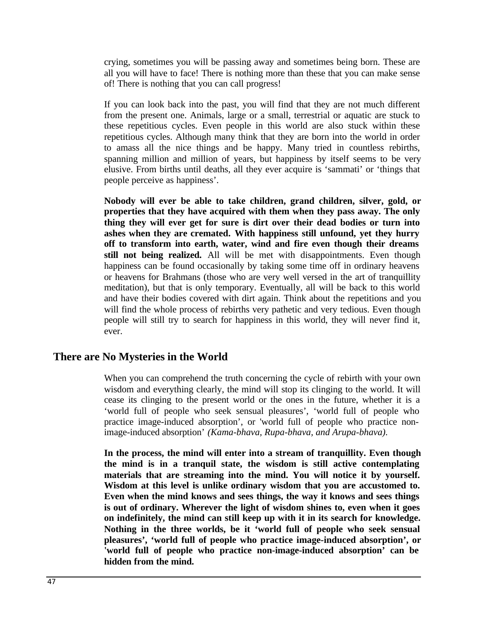crying, sometimes you will be passing away and sometimes being born. These are all you will have to face! There is nothing more than these that you can make sense of! There is nothing that you can call progress!

If you can look back into the past, you will find that they are not much different from the present one. Animals, large or a small, terrestrial or aquatic are stuck to these repetitious cycles. Even people in this world are also stuck within these repetitious cycles. Although many think that they are born into the world in order to amass all the nice things and be happy. Many tried in countless rebirths, spanning million and million of years, but happiness by itself seems to be very elusive. From births until deaths, all they ever acquire is 'sammati' or 'things that people perceive as happiness'.

**Nobody will ever be able to take children, grand children, silver, gold, or properties that they have acquired with them when they pass away. The only thing they will ever get for sure is dirt over their dead bodies or turn into ashes when they are cremated. With happiness still unfound, yet they hurry off to transform into earth, water, wind and fire even though their dreams still not being realized.** All will be met with disappointments. Even though happiness can be found occasionally by taking some time off in ordinary heavens or heavens for Brahmans (those who are very well versed in the art of tranquillity meditation), but that is only temporary. Eventually, all will be back to this world and have their bodies covered with dirt again. Think about the repetitions and you will find the whole process of rebirths very pathetic and very tedious. Even though people will still try to search for happiness in this world, they will never find it, ever.

## **There are No Mysteries in the World**

When you can comprehend the truth concerning the cycle of rebirth with your own wisdom and everything clearly, the mind will stop its clinging to the world. It will cease its clinging to the present world or the ones in the future, whether it is a 'world full of people who seek sensual pleasures', 'world full of people who practice image-induced absorption', or 'world full of people who practice nonimage-induced absorption' *(Kama-bhava, Rupa-bhava, and Arupa-bhava).*

**In the process, the mind will enter into a stream of tranquillity. Even though the mind is in a tranquil state, the wisdom is still active contemplating materials that are streaming into the mind. You will notice it by yourself. Wisdom at this level is unlike ordinary wisdom that you are accustomed to. Even when the mind knows and sees things, the way it knows and sees things is out of ordinary. Wherever the light of wisdom shines to, even when it goes on indefinitely, the mind can still keep up with it in its search for knowledge. Nothing in the three worlds, be it 'world full of people who seek sensual pleasures', 'world full of people who practice image-induced absorption', or 'world full of people who practice non-image-induced absorption' can be hidden from the mind.**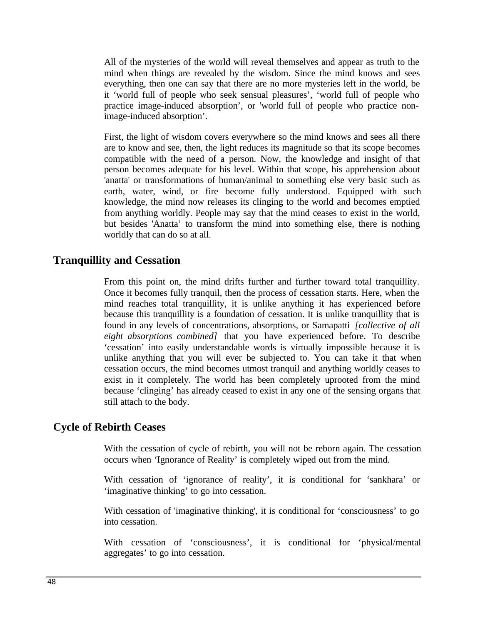All of the mysteries of the world will reveal themselves and appear as truth to the mind when things are revealed by the wisdom. Since the mind knows and sees everything, then one can say that there are no more mysteries left in the world, be it 'world full of people who seek sensual pleasures', 'world full of people who practice image-induced absorption', or 'world full of people who practice nonimage-induced absorption'.

First, the light of wisdom covers everywhere so the mind knows and sees all there are to know and see, then, the light reduces its magnitude so that its scope becomes compatible with the need of a person. Now, the knowledge and insight of that person becomes adequate for his level. Within that scope, his apprehension about 'anatta' or transformations of human/animal to something else very basic such as earth, water, wind, or fire become fully understood. Equipped with such knowledge, the mind now releases its clinging to the world and becomes emptied from anything worldly. People may say that the mind ceases to exist in the world, but besides 'Anatta' to transform the mind into something else, there is nothing worldly that can do so at all.

#### **Tranquillity and Cessation**

From this point on, the mind drifts further and further toward total tranquillity. Once it becomes fully tranquil, then the process of cessation starts. Here, when the mind reaches total tranquillity, it is unlike anything it has experienced before because this tranquillity is a foundation of cessation. It is unlike tranquillity that is found in any levels of concentrations, absorptions, or Samapatti *[collective of all eight absorptions combined]* that you have experienced before. To describe 'cessation' into easily understandable words is virtually impossible because it is unlike anything that you will ever be subjected to. You can take it that when cessation occurs, the mind becomes utmost tranquil and anything worldly ceases to exist in it completely. The world has been completely uprooted from the mind because 'clinging' has already ceased to exist in any one of the sensing organs that still attach to the body.

#### **Cycle of Rebirth Ceases**

With the cessation of cycle of rebirth, you will not be reborn again. The cessation occurs when 'Ignorance of Reality' is completely wiped out from the mind.

With cessation of 'ignorance of reality', it is conditional for 'sankhara' or 'imaginative thinking' to go into cessation.

With cessation of 'imaginative thinking', it is conditional for 'consciousness' to go into cessation.

With cessation of 'consciousness', it is conditional for 'physical/mental aggregates' to go into cessation.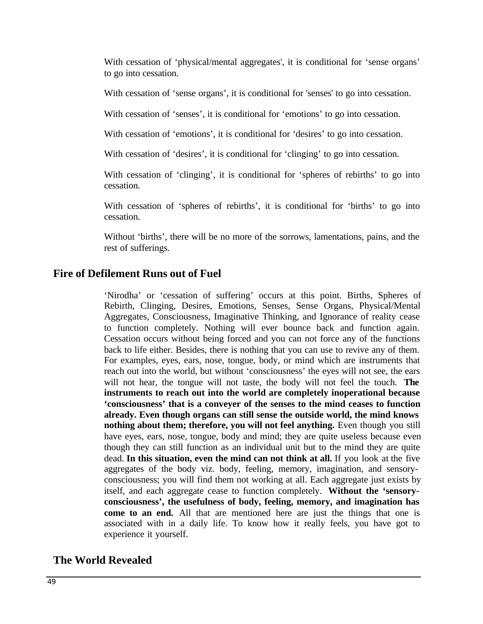With cessation of 'physical/mental aggregates', it is conditional for 'sense organs' to go into cessation.

With cessation of 'sense organs', it is conditional for 'senses' to go into cessation.

With cessation of 'senses', it is conditional for 'emotions' to go into cessation.

With cessation of 'emotions', it is conditional for 'desires' to go into cessation.

With cessation of 'desires', it is conditional for 'clinging' to go into cessation.

With cessation of 'clinging', it is conditional for 'spheres of rebirths' to go into cessation.

With cessation of 'spheres of rebirths', it is conditional for 'births' to go into cessation.

Without 'births', there will be no more of the sorrows, lamentations, pains, and the rest of sufferings.

#### **Fire of Defilement Runs out of Fuel**

'Nirodha' or 'cessation of suffering' occurs at this point. Births, Spheres of Rebirth, Clinging, Desires, Emotions, Senses, Sense Organs, Physical/Mental Aggregates, Consciousness, Imaginative Thinking, and Ignorance of reality cease to function completely. Nothing will ever bounce back and function again. Cessation occurs without being forced and you can not force any of the functions back to life either. Besides, there is nothing that you can use to revive any of them. For examples, eyes, ears, nose, tongue, body, or mind which are instruments that reach out into the world, but without 'consciousness' the eyes will not see, the ears will not hear, the tongue will not taste, the body will not feel the touch. **The instruments to reach out into the world are completely inoperational because 'consciousness' that is a conveyer of the senses to the mind ceases to function already. Even though organs can still sense the outside world, the mind knows nothing about them; therefore, you will not feel anything.** Even though you still have eyes, ears, nose, tongue, body and mind; they are quite useless because even though they can still function as an individual unit but to the mind they are quite dead. **In this situation, even the mind can not think at all.** If you look at the five aggregates of the body viz. body, feeling, memory, imagination, and sensoryconsciousness; you will find them not working at all. Each aggregate just exists by itself, and each aggregate cease to function completely. **Without the 'sensoryconsciousness', the usefulness of body, feeling, memory, and imagination has come to an end.** All that are mentioned here are just the things that one is associated with in a daily life. To know how it really feels, you have got to experience it yourself.

## **The World Revealed**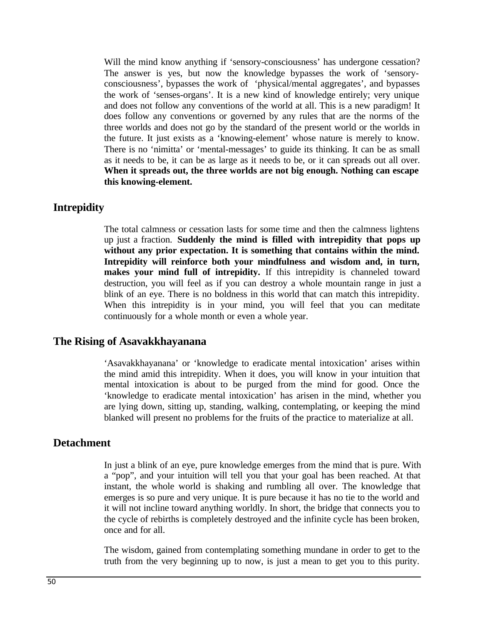Will the mind know anything if 'sensory-consciousness' has undergone cessation? The answer is yes, but now the knowledge bypasses the work of 'sensoryconsciousness', bypasses the work of 'physical/mental aggregates', and bypasses the work of 'senses-organs'. It is a new kind of knowledge entirely; very unique and does not follow any conventions of the world at all. This is a new paradigm! It does follow any conventions or governed by any rules that are the norms of the three worlds and does not go by the standard of the present world or the worlds in the future. It just exists as a 'knowing-element' whose nature is merely to know. There is no 'nimitta' or 'mental-messages' to guide its thinking. It can be as small as it needs to be, it can be as large as it needs to be, or it can spreads out all over. **When it spreads out, the three worlds are not big enough. Nothing can escape this knowing-element.**

#### **Intrepidity**

The total calmness or cessation lasts for some time and then the calmness lightens up just a fraction. **Suddenly the mind is filled with intrepidity that pops up without any prior expectation. It is something that contains within the mind. Intrepidity will reinforce both your mindfulness and wisdom and, in turn, makes your mind full of intrepidity.** If this intrepidity is channeled toward destruction, you will feel as if you can destroy a whole mountain range in just a blink of an eye. There is no boldness in this world that can match this intrepidity. When this intrepidity is in your mind, you will feel that you can meditate continuously for a whole month or even a whole year.

#### **The Rising of Asavakkhayanana**

'Asavakkhayanana' or 'knowledge to eradicate mental intoxication' arises within the mind amid this intrepidity. When it does, you will know in your intuition that mental intoxication is about to be purged from the mind for good. Once the 'knowledge to eradicate mental intoxication' has arisen in the mind, whether you are lying down, sitting up, standing, walking, contemplating, or keeping the mind blanked will present no problems for the fruits of the practice to materialize at all.

#### **Detachment**

In just a blink of an eye, pure knowledge emerges from the mind that is pure. With a "pop", and your intuition will tell you that your goal has been reached. At that instant, the whole world is shaking and rumbling all over. The knowledge that emerges is so pure and very unique. It is pure because it has no tie to the world and it will not incline toward anything worldly. In short, the bridge that connects you to the cycle of rebirths is completely destroyed and the infinite cycle has been broken, once and for all.

The wisdom, gained from contemplating something mundane in order to get to the truth from the very beginning up to now, is just a mean to get you to this purity.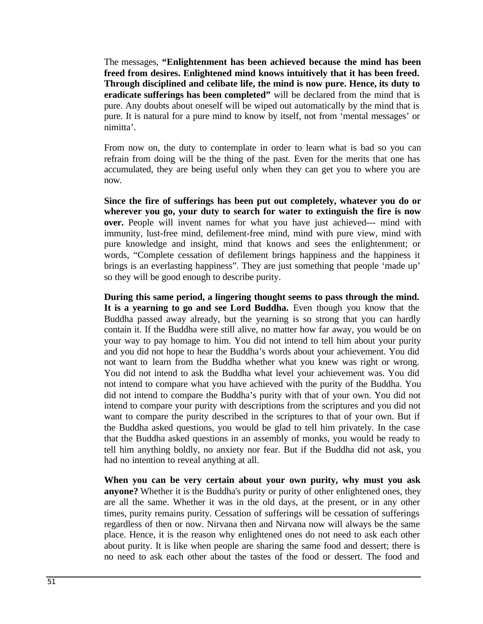The messages, **"Enlightenment has been achieved because the mind has been freed from desires. Enlightened mind knows intuitively that it has been freed. Through disciplined and celibate life, the mind is now pure. Hence, its duty to eradicate sufferings has been completed"** will be declared from the mind that is pure. Any doubts about oneself will be wiped out automatically by the mind that is pure. It is natural for a pure mind to know by itself, not from 'mental messages' or nimitta'.

From now on, the duty to contemplate in order to learn what is bad so you can refrain from doing will be the thing of the past. Even for the merits that one has accumulated, they are being useful only when they can get you to where you are now.

**Since the fire of sufferings has been put out completely, whatever you do or wherever you go, your duty to search for water to extinguish the fire is now over.** People will invent names for what you have just achieved--- mind with immunity, lust-free mind, defilement-free mind, mind with pure view, mind with pure knowledge and insight, mind that knows and sees the enlightenment; or words, "Complete cessation of defilement brings happiness and the happiness it brings is an everlasting happiness". They are just something that people 'made up' so they will be good enough to describe purity.

**During this same period, a lingering thought seems to pass through the mind. It is a yearning to go and see Lord Buddha.** Even though you know that the Buddha passed away already, but the yearning is so strong that you can hardly contain it. If the Buddha were still alive, no matter how far away, you would be on your way to pay homage to him. You did not intend to tell him about your purity and you did not hope to hear the Buddha's words about your achievement. You did not want to learn from the Buddha whether what you knew was right or wrong. You did not intend to ask the Buddha what level your achievement was. You did not intend to compare what you have achieved with the purity of the Buddha. You did not intend to compare the Buddha's purity with that of your own. You did not intend to compare your purity with descriptions from the scriptures and you did not want to compare the purity described in the scriptures to that of your own. But if the Buddha asked questions, you would be glad to tell him privately. In the case that the Buddha asked questions in an assembly of monks, you would be ready to tell him anything boldly, no anxiety nor fear. But if the Buddha did not ask, you had no intention to reveal anything at all.

**When you can be very certain about your own purity, why must you ask anyone?** Whether it is the Buddha's purity or purity of other enlightened ones, they are all the same. Whether it was in the old days, at the present, or in any other times, purity remains purity. Cessation of sufferings will be cessation of sufferings regardless of then or now. Nirvana then and Nirvana now will always be the same place. Hence, it is the reason why enlightened ones do not need to ask each other about purity. It is like when people are sharing the same food and dessert; there is no need to ask each other about the tastes of the food or dessert. The food and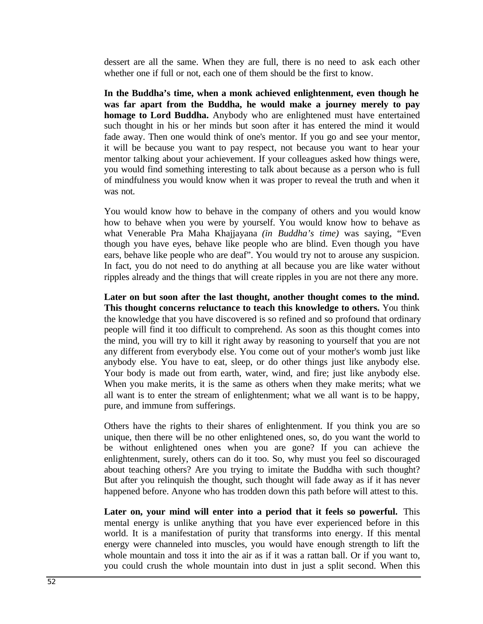dessert are all the same. When they are full, there is no need to ask each other whether one if full or not, each one of them should be the first to know.

**In the Buddha's time, when a monk achieved enlightenment, even though he was far apart from the Buddha, he would make a journey merely to pay homage to Lord Buddha.** Anybody who are enlightened must have entertained such thought in his or her minds but soon after it has entered the mind it would fade away. Then one would think of one's mentor. If you go and see your mentor, it will be because you want to pay respect, not because you want to hear your mentor talking about your achievement. If your colleagues asked how things were, you would find something interesting to talk about because as a person who is full of mindfulness you would know when it was proper to reveal the truth and when it was not.

You would know how to behave in the company of others and you would know how to behave when you were by yourself. You would know how to behave as what Venerable Pra Maha Khajjayana *(in Buddha's time)* was saying, "Even though you have eyes, behave like people who are blind. Even though you have ears, behave like people who are deaf". You would try not to arouse any suspicion. In fact, you do not need to do anything at all because you are like water without ripples already and the things that will create ripples in you are not there any more.

**Later on but soon after the last thought, another thought comes to the mind. This thought concerns reluctance to teach this knowledge to others.** You think the knowledge that you have discovered is so refined and so profound that ordinary people will find it too difficult to comprehend. As soon as this thought comes into the mind, you will try to kill it right away by reasoning to yourself that you are not any different from everybody else. You come out of your mother's womb just like anybody else. You have to eat, sleep, or do other things just like anybody else. Your body is made out from earth, water, wind, and fire; just like anybody else. When you make merits, it is the same as others when they make merits; what we all want is to enter the stream of enlightenment; what we all want is to be happy, pure, and immune from sufferings.

Others have the rights to their shares of enlightenment. If you think you are so unique, then there will be no other enlightened ones, so, do you want the world to be without enlightened ones when you are gone? If you can achieve the enlightenment, surely, others can do it too. So, why must you feel so discouraged about teaching others? Are you trying to imitate the Buddha with such thought? But after you relinquish the thought, such thought will fade away as if it has never happened before. Anyone who has trodden down this path before will attest to this.

**Later on, your mind will enter into a period that it feels so powerful.** This mental energy is unlike anything that you have ever experienced before in this world. It is a manifestation of purity that transforms into energy. If this mental energy were channeled into muscles, you would have enough strength to lift the whole mountain and toss it into the air as if it was a rattan ball. Or if you want to, you could crush the whole mountain into dust in just a split second. When this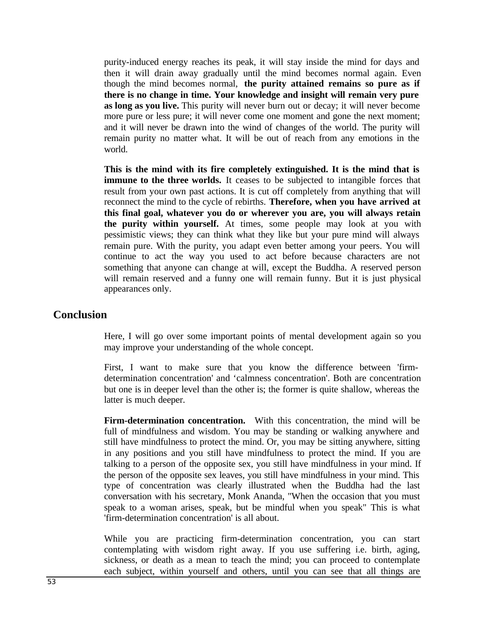purity-induced energy reaches its peak, it will stay inside the mind for days and then it will drain away gradually until the mind becomes normal again. Even though the mind becomes normal, **the purity attained remains so pure as if there is no change in time. Your knowledge and insight will remain very pure as long as you live.** This purity will never burn out or decay; it will never become more pure or less pure; it will never come one moment and gone the next moment; and it will never be drawn into the wind of changes of the world. The purity will remain purity no matter what. It will be out of reach from any emotions in the world.

**This is the mind with its fire completely extinguished. It is the mind that is immune to the three worlds.** It ceases to be subjected to intangible forces that result from your own past actions. It is cut off completely from anything that will reconnect the mind to the cycle of rebirths. **Therefore, when you have arrived at this final goal, whatever you do or wherever you are, you will always retain the purity within yourself.** At times, some people may look at you with pessimistic views; they can think what they like but your pure mind will always remain pure. With the purity, you adapt even better among your peers. You will continue to act the way you used to act before because characters are not something that anyone can change at will, except the Buddha. A reserved person will remain reserved and a funny one will remain funny. But it is just physical appearances only.

#### **Conclusion**

Here, I will go over some important points of mental development again so you may improve your understanding of the whole concept.

First, I want to make sure that you know the difference between 'firmdetermination concentration' and 'calmness concentration'. Both are concentration but one is in deeper level than the other is; the former is quite shallow, whereas the latter is much deeper.

**Firm-determination concentration.** With this concentration, the mind will be full of mindfulness and wisdom. You may be standing or walking anywhere and still have mindfulness to protect the mind. Or, you may be sitting anywhere, sitting in any positions and you still have mindfulness to protect the mind. If you are talking to a person of the opposite sex, you still have mindfulness in your mind. If the person of the opposite sex leaves, you still have mindfulness in your mind. This type of concentration was clearly illustrated when the Buddha had the last conversation with his secretary, Monk Ananda, "When the occasion that you must speak to a woman arises, speak, but be mindful when you speak" This is what 'firm-determination concentration' is all about.

While you are practicing firm-determination concentration, you can start contemplating with wisdom right away. If you use suffering i.e. birth, aging, sickness, or death as a mean to teach the mind; you can proceed to contemplate each subject, within yourself and others, until you can see that all things are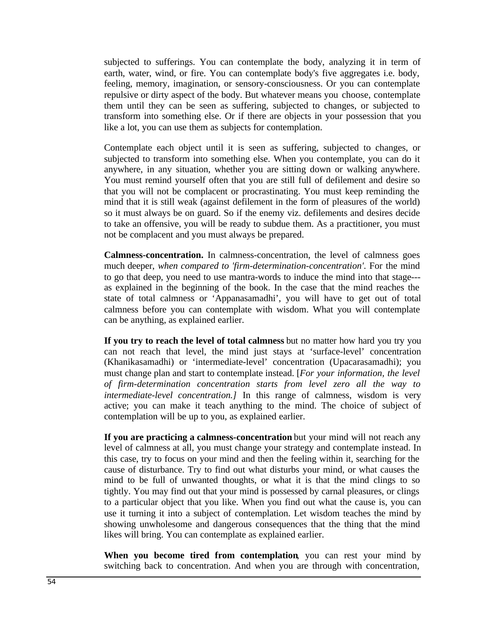subjected to sufferings. You can contemplate the body, analyzing it in term of earth, water, wind, or fire. You can contemplate body's five aggregates i.e. body, feeling, memory, imagination, or sensory-consciousness. Or you can contemplate repulsive or dirty aspect of the body. But whatever means you choose, contemplate them until they can be seen as suffering, subjected to changes, or subjected to transform into something else. Or if there are objects in your possession that you like a lot, you can use them as subjects for contemplation.

Contemplate each object until it is seen as suffering, subjected to changes, or subjected to transform into something else. When you contemplate, you can do it anywhere, in any situation, whether you are sitting down or walking anywhere. You must remind yourself often that you are still full of defilement and desire so that you will not be complacent or procrastinating. You must keep reminding the mind that it is still weak (against defilement in the form of pleasures of the world) so it must always be on guard. So if the enemy viz. defilements and desires decide to take an offensive, you will be ready to subdue them. As a practitioner, you must not be complacent and you must always be prepared.

**Calmness-concentration.** In calmness-concentration, the level of calmness goes much deeper, *when compared to 'firm-determination-concentration'*. For the mind to go that deep, you need to use mantra-words to induce the mind into that stage-- as explained in the beginning of the book. In the case that the mind reaches the state of total calmness or 'Appanasamadhi', you will have to get out of total calmness before you can contemplate with wisdom. What you will contemplate can be anything, as explained earlier.

**If you try to reach the level of total calmness** but no matter how hard you try you can not reach that level, the mind just stays at 'surface-level' concentration (Khanikasamadhi) or 'intermediate-level' concentration (Upacarasamadhi); you must change plan and start to contemplate instead. [*For your information, the level of firm-determination concentration starts from level zero all the way to intermediate-level concentration.]* In this range of calmness, wisdom is very active; you can make it teach anything to the mind. The choice of subject of contemplation will be up to you, as explained earlier.

**If you are practicing a calmness-concentration** but your mind will not reach any level of calmness at all, you must change your strategy and contemplate instead. In this case, try to focus on your mind and then the feeling within it, searching for the cause of disturbance. Try to find out what disturbs your mind, or what causes the mind to be full of unwanted thoughts, or what it is that the mind clings to so tightly. You may find out that your mind is possessed by carnal pleasures, or clings to a particular object that you like. When you find out what the cause is, you can use it turning it into a subject of contemplation. Let wisdom teaches the mind by showing unwholesome and dangerous consequences that the thing that the mind likes will bring. You can contemplate as explained earlier.

**When you become tired from contemplation**, you can rest your mind by switching back to concentration. And when you are through with concentration,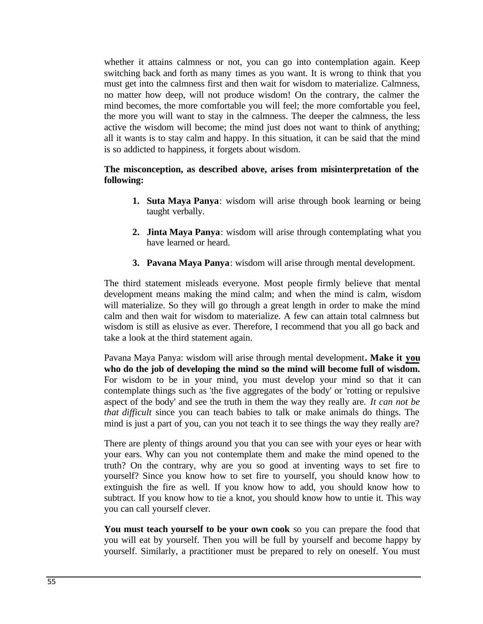whether it attains calmness or not, you can go into contemplation again. Keep switching back and forth as many times as you want. It is wrong to think that you must get into the calmness first and then wait for wisdom to materialize. Calmness, no matter how deep, will not produce wisdom! On the contrary, the calmer the mind becomes, the more comfortable you will feel; the more comfortable you feel, the more you will want to stay in the calmness. The deeper the calmness, the less active the wisdom will become; the mind just does not want to think of anything; all it wants is to stay calm and happy. In this situation, it can be said that the mind is so addicted to happiness, it forgets about wisdom.

#### **The misconception, as described above, arises from misinterpretation of the following:**

- **1. Suta Maya Panya**: wisdom will arise through book learning or being taught verbally.
- **2. Jinta Maya Panya**: wisdom will arise through contemplating what you have learned or heard.
- **3. Pavana Maya Panya**: wisdom will arise through mental development.

The third statement misleads everyone. Most people firmly believe that mental development means making the mind calm; and when the mind is calm, wisdom will materialize. So they will go through a great length in order to make the mind calm and then wait for wisdom to materialize. A few can attain total calmness but wisdom is still as elusive as ever. Therefore, I recommend that you all go back and take a look at the third statement again.

Pavana Maya Panya: wisdom will arise through mental development**. Make it you who do the job of developing the mind so the mind will become full of wisdom.** For wisdom to be in your mind, you must develop your mind so that it can contemplate things such as 'the five aggregates of the body' or 'rotting or repulsive aspect of the body' and see the truth in them the way they really are. *It can not be that difficult* since you can teach babies to talk or make animals do things. The mind is just a part of you, can you not teach it to see things the way they really are?

There are plenty of things around you that you can see with your eyes or hear with your ears. Why can you not contemplate them and make the mind opened to the truth? On the contrary, why are you so good at inventing ways to set fire to yourself? Since you know how to set fire to yourself, you should know how to extinguish the fire as well. If you know how to add, you should know how to subtract. If you know how to tie a knot, you should know how to untie it. This way you can call yourself clever.

**You must teach yourself to be your own cook** so you can prepare the food that you will eat by yourself. Then you will be full by yourself and become happy by yourself. Similarly, a practitioner must be prepared to rely on oneself. You must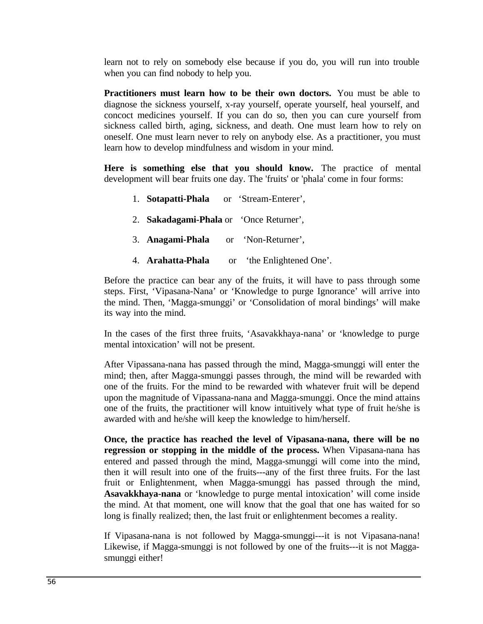learn not to rely on somebody else because if you do, you will run into trouble when you can find nobody to help you.

**Practitioners must learn how to be their own doctors.** You must be able to diagnose the sickness yourself, x-ray yourself, operate yourself, heal yourself, and concoct medicines yourself. If you can do so, then you can cure yourself from sickness called birth, aging, sickness, and death. One must learn how to rely on oneself. One must learn never to rely on anybody else. As a practitioner, you must learn how to develop mindfulness and wisdom in your mind.

**Here is something else that you should know.** The practice of mental development will bear fruits one day. The 'fruits' or 'phala' come in four forms:

- 1. **Sotapatti-Phala** or 'Stream-Enterer',
- 2. **Sakadagami-Phala** or 'Once Returner',
- 3. **Anagami-Phala** or 'Non-Returner',
- 4. **Arahatta-Phala** or 'the Enlightened One'.

Before the practice can bear any of the fruits, it will have to pass through some steps. First, 'Vipasana-Nana' or 'Knowledge to purge Ignorance' will arrive into the mind. Then, 'Magga-smunggi' or 'Consolidation of moral bindings' will make its way into the mind.

In the cases of the first three fruits, 'Asavakkhaya-nana' or 'knowledge to purge mental intoxication' will not be present.

After Vipassana-nana has passed through the mind, Magga-smunggi will enter the mind; then, after Magga-smunggi passes through, the mind will be rewarded with one of the fruits. For the mind to be rewarded with whatever fruit will be depend upon the magnitude of Vipassana-nana and Magga-smunggi. Once the mind attains one of the fruits, the practitioner will know intuitively what type of fruit he/she is awarded with and he/she will keep the knowledge to him/herself.

**Once, the practice has reached the level of Vipasana-nana, there will be no regression or stopping in the middle of the process.** When Vipasana-nana has entered and passed through the mind, Magga-smunggi will come into the mind, then it will result into one of the fruits---any of the first three fruits. For the last fruit or Enlightenment, when Magga-smunggi has passed through the mind, **Asavakkhaya-nana** or 'knowledge to purge mental intoxication' will come inside the mind. At that moment, one will know that the goal that one has waited for so long is finally realized; then, the last fruit or enlightenment becomes a reality.

If Vipasana-nana is not followed by Magga-smunggi---it is not Vipasana-nana! Likewise, if Magga-smunggi is not followed by one of the fruits---it is not Maggasmunggi either!